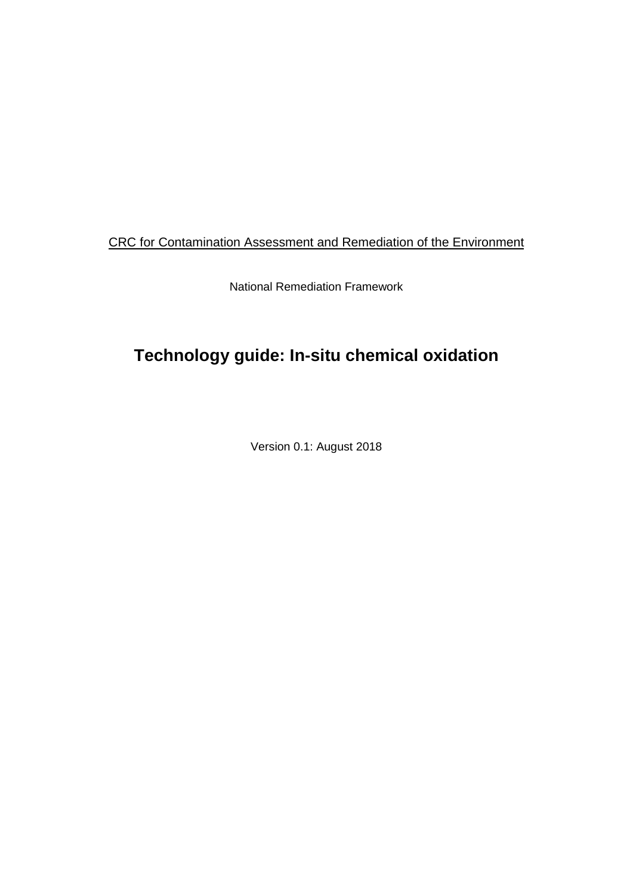### CRC for Contamination Assessment and Remediation of the Environment

National Remediation Framework

# **Technology guide: In-situ chemical oxidation**

Version 0.1: August 2018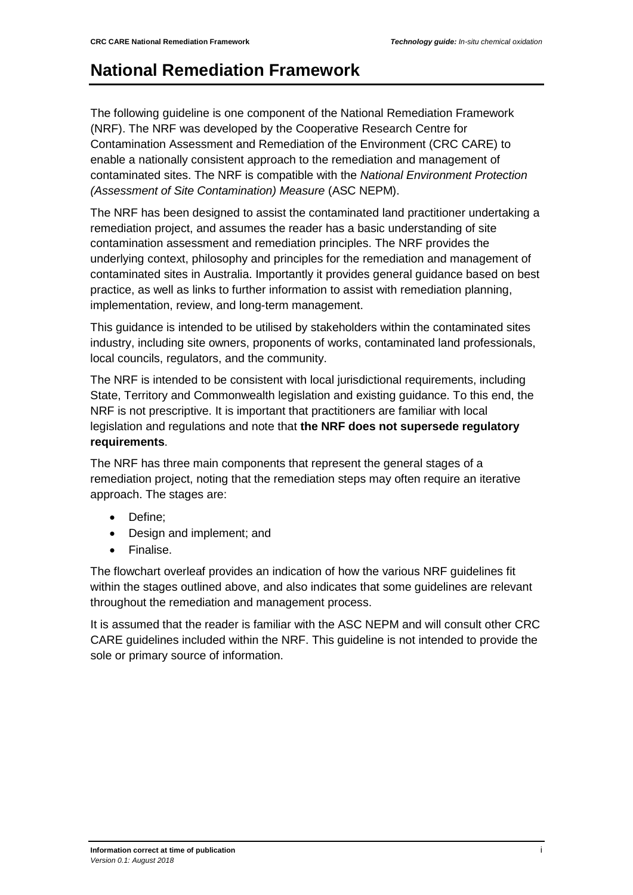## <span id="page-1-0"></span>**National Remediation Framework**

The following guideline is one component of the National Remediation Framework (NRF). The NRF was developed by the Cooperative Research Centre for Contamination Assessment and Remediation of the Environment (CRC CARE) to enable a nationally consistent approach to the remediation and management of contaminated sites. The NRF is compatible with the *National Environment Protection (Assessment of Site Contamination) Measure* (ASC NEPM).

The NRF has been designed to assist the contaminated land practitioner undertaking a remediation project, and assumes the reader has a basic understanding of site contamination assessment and remediation principles. The NRF provides the underlying context, philosophy and principles for the remediation and management of contaminated sites in Australia. Importantly it provides general guidance based on best practice, as well as links to further information to assist with remediation planning, implementation, review, and long-term management.

This guidance is intended to be utilised by stakeholders within the contaminated sites industry, including site owners, proponents of works, contaminated land professionals, local councils, regulators, and the community.

The NRF is intended to be consistent with local jurisdictional requirements, including State, Territory and Commonwealth legislation and existing guidance. To this end, the NRF is not prescriptive. It is important that practitioners are familiar with local legislation and regulations and note that **the NRF does not supersede regulatory requirements**.

The NRF has three main components that represent the general stages of a remediation project, noting that the remediation steps may often require an iterative approach. The stages are:

- Define;
- Design and implement; and
- Finalise.

The flowchart overleaf provides an indication of how the various NRF guidelines fit within the stages outlined above, and also indicates that some guidelines are relevant throughout the remediation and management process.

It is assumed that the reader is familiar with the ASC NEPM and will consult other CRC CARE guidelines included within the NRF. This guideline is not intended to provide the sole or primary source of information.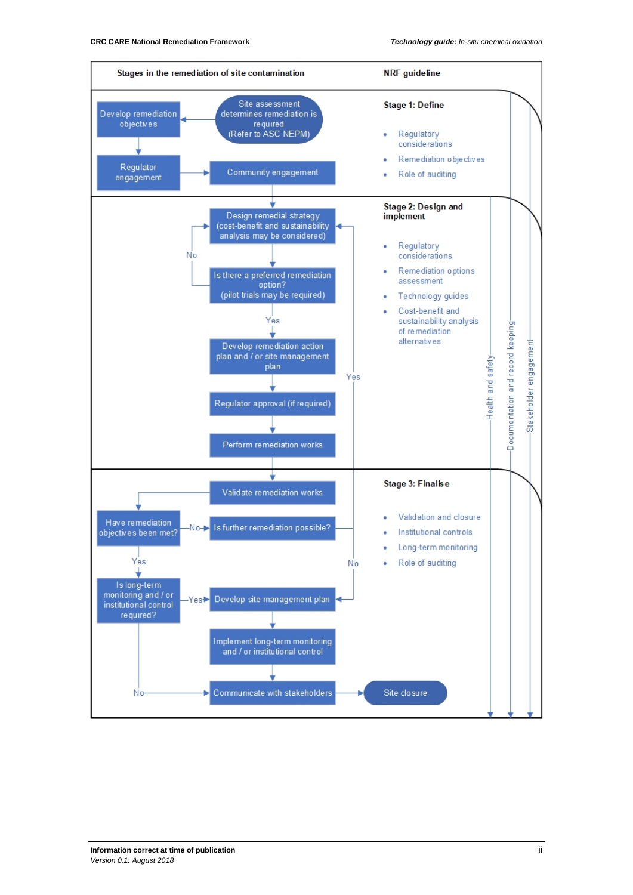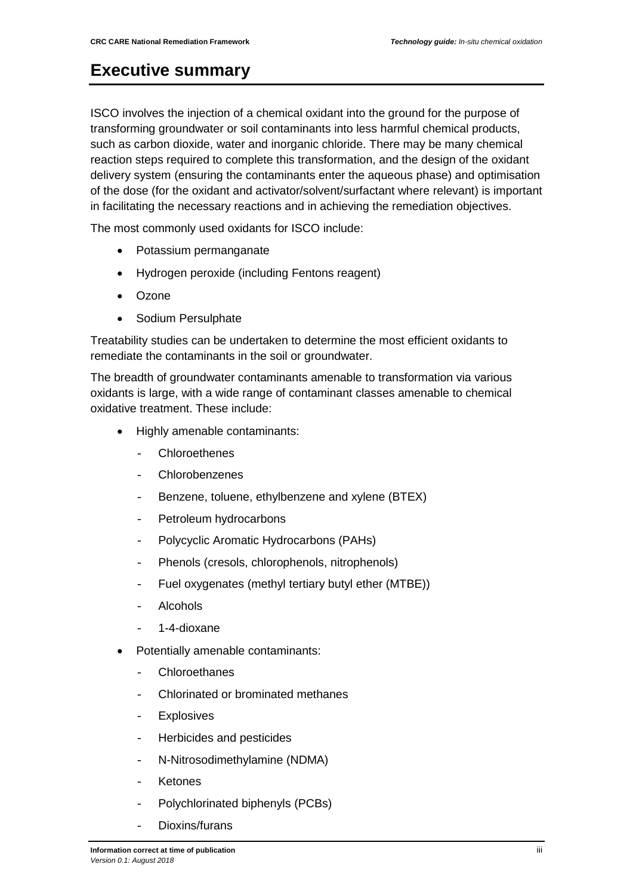### <span id="page-3-0"></span>**Executive summary**

ISCO involves the injection of a chemical oxidant into the ground for the purpose of transforming groundwater or soil contaminants into less harmful chemical products, such as carbon dioxide, water and inorganic chloride. There may be many chemical reaction steps required to complete this transformation, and the design of the oxidant delivery system (ensuring the contaminants enter the aqueous phase) and optimisation of the dose (for the oxidant and activator/solvent/surfactant where relevant) is important in facilitating the necessary reactions and in achieving the remediation objectives.

The most commonly used oxidants for ISCO include:

- Potassium permanganate
- Hydrogen peroxide (including Fentons reagent)
- Ozone
- Sodium Persulphate

Treatability studies can be undertaken to determine the most efficient oxidants to remediate the contaminants in the soil or groundwater.

The breadth of groundwater contaminants amenable to transformation via various oxidants is large, with a wide range of contaminant classes amenable to chemical oxidative treatment. These include:

- Highly amenable contaminants:
	- Chloroethenes
	- Chlorobenzenes
	- Benzene, toluene, ethylbenzene and xylene (BTEX)
	- Petroleum hydrocarbons
	- Polycyclic Aromatic Hydrocarbons (PAHs)
	- Phenols (cresols, chlorophenols, nitrophenols)
	- Fuel oxygenates (methyl tertiary butyl ether (MTBE))
	- Alcohols
	- 1-4-dioxane
- Potentially amenable contaminants:
	- Chloroethanes
	- Chlorinated or brominated methanes
	- **Explosives**
	- Herbicides and pesticides
	- N-Nitrosodimethylamine (NDMA)
	- **Ketones**
	- Polychlorinated biphenyls (PCBs)
	- Dioxins/furans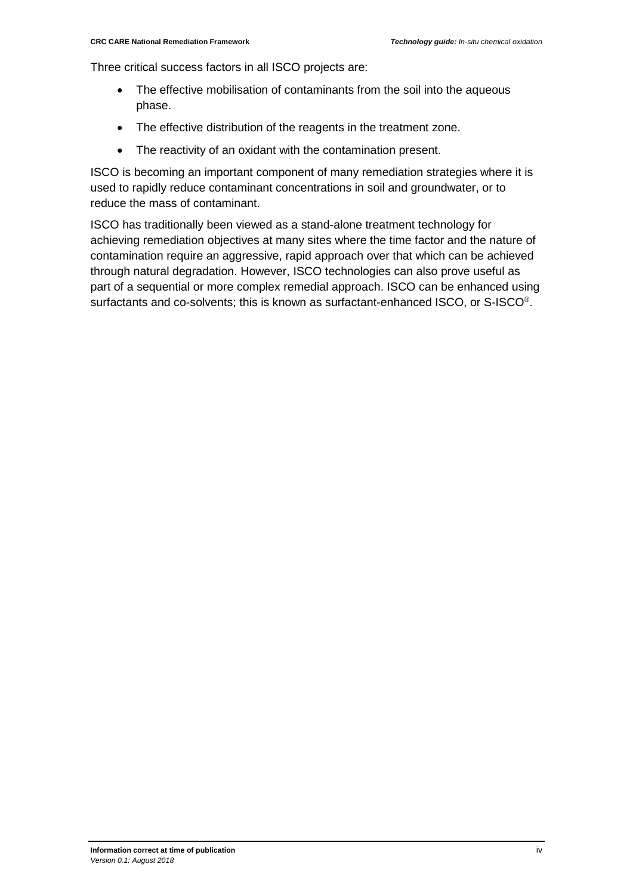Three critical success factors in all ISCO projects are:

- The effective mobilisation of contaminants from the soil into the aqueous phase.
- The effective distribution of the reagents in the treatment zone.
- The reactivity of an oxidant with the contamination present.

ISCO is becoming an important component of many remediation strategies where it is used to rapidly reduce contaminant concentrations in soil and groundwater, or to reduce the mass of contaminant.

ISCO has traditionally been viewed as a stand-alone treatment technology for achieving remediation objectives at many sites where the time factor and the nature of contamination require an aggressive, rapid approach over that which can be achieved through natural degradation. However, ISCO technologies can also prove useful as part of a sequential or more complex remedial approach. ISCO can be enhanced using surfactants and co-solvents; this is known as surfactant-enhanced ISCO, or S-ISCO®.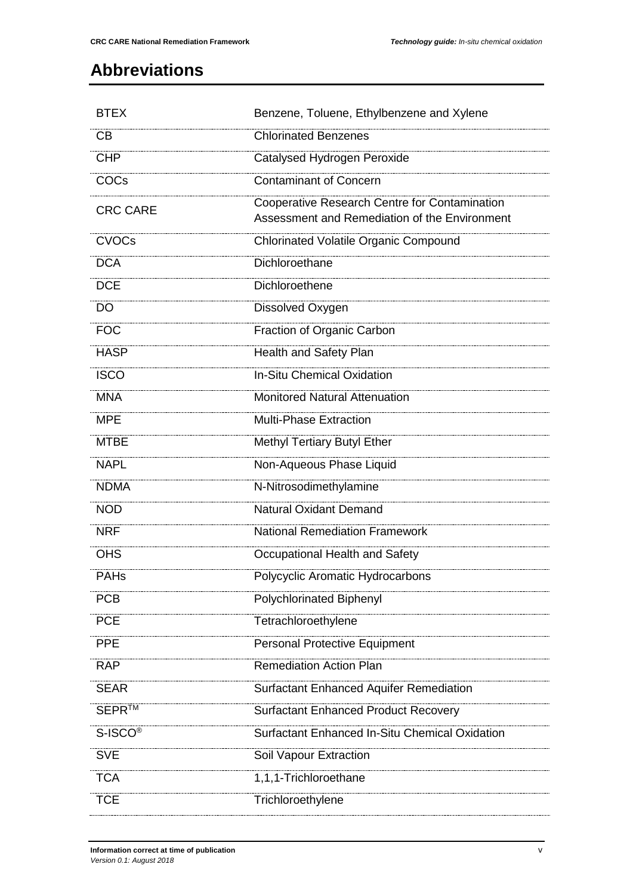## <span id="page-5-0"></span>**Abbreviations**

| <b>BTEX</b>         | Benzene, Toluene, Ethylbenzene and Xylene                                                      |
|---------------------|------------------------------------------------------------------------------------------------|
| <b>CB</b>           | <b>Chlorinated Benzenes</b>                                                                    |
| <b>CHP</b>          | Catalysed Hydrogen Peroxide                                                                    |
| COCs                | <b>Contaminant of Concern</b>                                                                  |
| <b>CRC CARE</b>     | Cooperative Research Centre for Contamination<br>Assessment and Remediation of the Environment |
| <b>CVOCs</b>        | <b>Chlorinated Volatile Organic Compound</b>                                                   |
| <b>DCA</b>          | Dichloroethane                                                                                 |
| <b>DCE</b>          | Dichloroethene                                                                                 |
| <b>DO</b>           | Dissolved Oxygen                                                                               |
| <b>FOC</b>          | Fraction of Organic Carbon                                                                     |
| <b>HASP</b>         | <b>Health and Safety Plan</b>                                                                  |
| <b>ISCO</b>         | <b>In-Situ Chemical Oxidation</b>                                                              |
| <b>MNA</b>          | <b>Monitored Natural Attenuation</b>                                                           |
| <b>MPE</b>          | <b>Multi-Phase Extraction</b>                                                                  |
| <b>MTBE</b>         | <b>Methyl Tertiary Butyl Ether</b>                                                             |
| <b>NAPL</b>         | Non-Aqueous Phase Liquid                                                                       |
| <b>NDMA</b>         | N-Nitrosodimethylamine                                                                         |
| <b>NOD</b>          | <b>Natural Oxidant Demand</b>                                                                  |
| <b>NRF</b>          | <b>National Remediation Framework</b>                                                          |
| <b>OHS</b>          | Occupational Health and Safety                                                                 |
| PAHs                | <b>Polycyclic Aromatic Hydrocarbons</b>                                                        |
| <b>PCB</b>          | <b>Polychlorinated Biphenyl</b>                                                                |
| <b>PCE</b>          | Tetrachloroethylene                                                                            |
| <b>PPE</b>          | <b>Personal Protective Equipment</b>                                                           |
| <b>RAP</b>          | <b>Remediation Action Plan</b>                                                                 |
| <b>SEAR</b>         | <b>Surfactant Enhanced Aquifer Remediation</b>                                                 |
| SEPR™               | <b>Surfactant Enhanced Product Recovery</b>                                                    |
| S-ISCO <sup>®</sup> | <b>Surfactant Enhanced In-Situ Chemical Oxidation</b>                                          |
| <b>SVE</b>          | Soil Vapour Extraction                                                                         |
| <b>TCA</b>          | 1,1,1-Trichloroethane                                                                          |
| <b>TCE</b>          | Trichloroethylene                                                                              |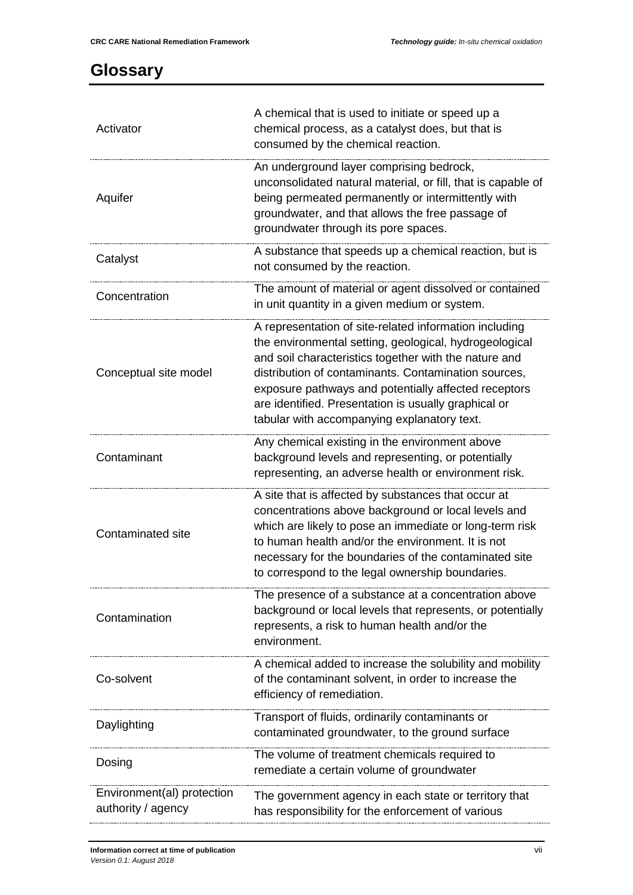## <span id="page-7-0"></span>**Glossary**

| Activator                                        | A chemical that is used to initiate or speed up a<br>chemical process, as a catalyst does, but that is<br>consumed by the chemical reaction.                                                                                                                                                                                                                                                     |
|--------------------------------------------------|--------------------------------------------------------------------------------------------------------------------------------------------------------------------------------------------------------------------------------------------------------------------------------------------------------------------------------------------------------------------------------------------------|
| Aquifer                                          | An underground layer comprising bedrock,<br>unconsolidated natural material, or fill, that is capable of<br>being permeated permanently or intermittently with<br>groundwater, and that allows the free passage of<br>groundwater through its pore spaces.                                                                                                                                       |
| Catalyst                                         | A substance that speeds up a chemical reaction, but is<br>not consumed by the reaction.                                                                                                                                                                                                                                                                                                          |
| Concentration                                    | The amount of material or agent dissolved or contained<br>in unit quantity in a given medium or system.                                                                                                                                                                                                                                                                                          |
| Conceptual site model                            | A representation of site-related information including<br>the environmental setting, geological, hydrogeological<br>and soil characteristics together with the nature and<br>distribution of contaminants. Contamination sources,<br>exposure pathways and potentially affected receptors<br>are identified. Presentation is usually graphical or<br>tabular with accompanying explanatory text. |
| Contaminant                                      | Any chemical existing in the environment above<br>background levels and representing, or potentially<br>representing, an adverse health or environment risk.                                                                                                                                                                                                                                     |
| Contaminated site                                | A site that is affected by substances that occur at<br>concentrations above background or local levels and<br>which are likely to pose an immediate or long-term risk<br>to human health and/or the environment. It is not<br>necessary for the boundaries of the contaminated site<br>to correspond to the legal ownership boundaries.                                                          |
| Contamination                                    | The presence of a substance at a concentration above<br>background or local levels that represents, or potentially<br>represents, a risk to human health and/or the<br>environment.                                                                                                                                                                                                              |
| Co-solvent                                       | A chemical added to increase the solubility and mobility<br>of the contaminant solvent, in order to increase the<br>efficiency of remediation.                                                                                                                                                                                                                                                   |
| Daylighting                                      | Transport of fluids, ordinarily contaminants or<br>contaminated groundwater, to the ground surface                                                                                                                                                                                                                                                                                               |
| Dosing                                           | The volume of treatment chemicals required to<br>remediate a certain volume of groundwater                                                                                                                                                                                                                                                                                                       |
| Environment(al) protection<br>authority / agency | The government agency in each state or territory that<br>has responsibility for the enforcement of various                                                                                                                                                                                                                                                                                       |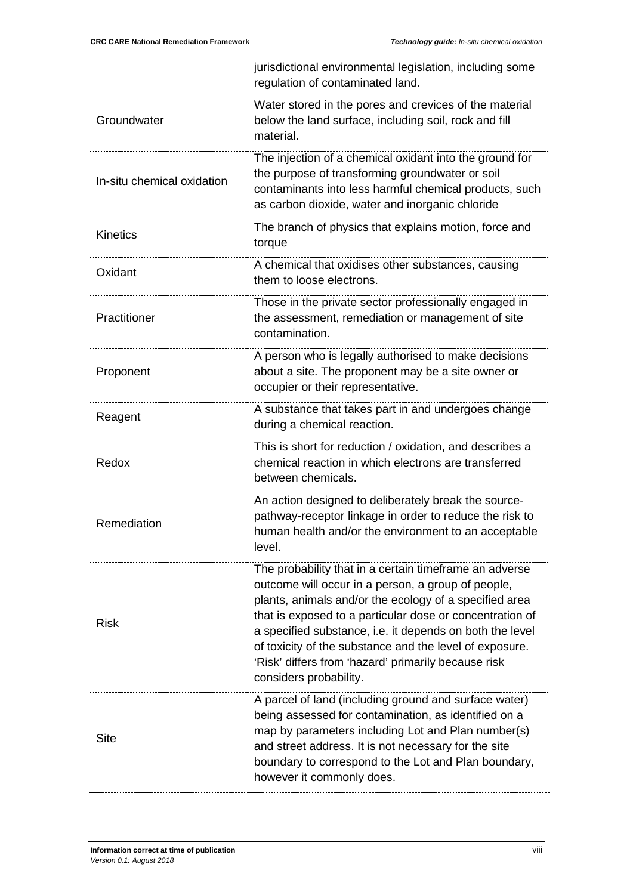|                            | jurisdictional environmental legislation, including some<br>regulation of contaminated land.                                                                                                                                                                                                                                                                                                                                               |
|----------------------------|--------------------------------------------------------------------------------------------------------------------------------------------------------------------------------------------------------------------------------------------------------------------------------------------------------------------------------------------------------------------------------------------------------------------------------------------|
| Groundwater                | Water stored in the pores and crevices of the material<br>below the land surface, including soil, rock and fill<br>material.                                                                                                                                                                                                                                                                                                               |
| In-situ chemical oxidation | The injection of a chemical oxidant into the ground for<br>the purpose of transforming groundwater or soil<br>contaminants into less harmful chemical products, such<br>as carbon dioxide, water and inorganic chloride                                                                                                                                                                                                                    |
| <b>Kinetics</b>            | The branch of physics that explains motion, force and<br>torque                                                                                                                                                                                                                                                                                                                                                                            |
| Oxidant                    | A chemical that oxidises other substances, causing<br>them to loose electrons.                                                                                                                                                                                                                                                                                                                                                             |
| Practitioner               | Those in the private sector professionally engaged in<br>the assessment, remediation or management of site<br>contamination.                                                                                                                                                                                                                                                                                                               |
| Proponent                  | A person who is legally authorised to make decisions<br>about a site. The proponent may be a site owner or<br>occupier or their representative.                                                                                                                                                                                                                                                                                            |
| Reagent                    | A substance that takes part in and undergoes change<br>during a chemical reaction.                                                                                                                                                                                                                                                                                                                                                         |
| Redox                      | This is short for reduction / oxidation, and describes a<br>chemical reaction in which electrons are transferred<br>between chemicals.                                                                                                                                                                                                                                                                                                     |
| Remediation                | An action designed to deliberately break the source-<br>pathway-receptor linkage in order to reduce the risk to<br>human health and/or the environment to an acceptable<br>level.                                                                                                                                                                                                                                                          |
| <b>Risk</b>                | The probability that in a certain timeframe an adverse<br>outcome will occur in a person, a group of people,<br>plants, animals and/or the ecology of a specified area<br>that is exposed to a particular dose or concentration of<br>a specified substance, i.e. it depends on both the level<br>of toxicity of the substance and the level of exposure.<br>'Risk' differs from 'hazard' primarily because risk<br>considers probability. |
| <b>Site</b>                | A parcel of land (including ground and surface water)<br>being assessed for contamination, as identified on a<br>map by parameters including Lot and Plan number(s)<br>and street address. It is not necessary for the site<br>boundary to correspond to the Lot and Plan boundary,<br>however it commonly does.                                                                                                                           |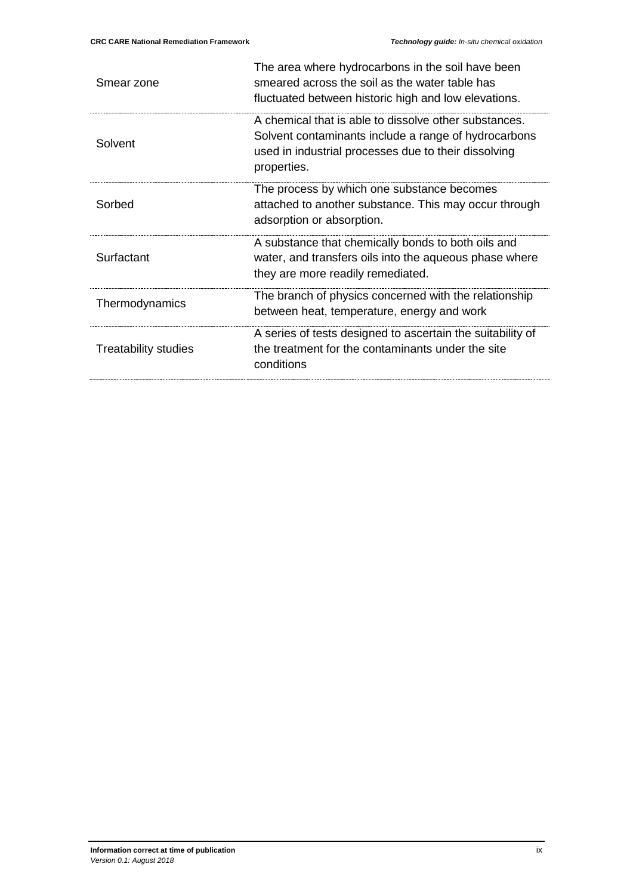| Smear zone                  | The area where hydrocarbons in the soil have been<br>smeared across the soil as the water table has<br>fluctuated between historic high and low elevations.                          |
|-----------------------------|--------------------------------------------------------------------------------------------------------------------------------------------------------------------------------------|
| Solvent                     | A chemical that is able to dissolve other substances.<br>Solvent contaminants include a range of hydrocarbons<br>used in industrial processes due to their dissolving<br>properties. |
| Sorbed                      | The process by which one substance becomes<br>attached to another substance. This may occur through<br>adsorption or absorption.                                                     |
| Surfactant                  | A substance that chemically bonds to both oils and<br>water, and transfers oils into the aqueous phase where<br>they are more readily remediated.                                    |
| Thermodynamics              | The branch of physics concerned with the relationship<br>between heat, temperature, energy and work                                                                                  |
| <b>Treatability studies</b> | A series of tests designed to ascertain the suitability of<br>the treatment for the contaminants under the site<br>conditions                                                        |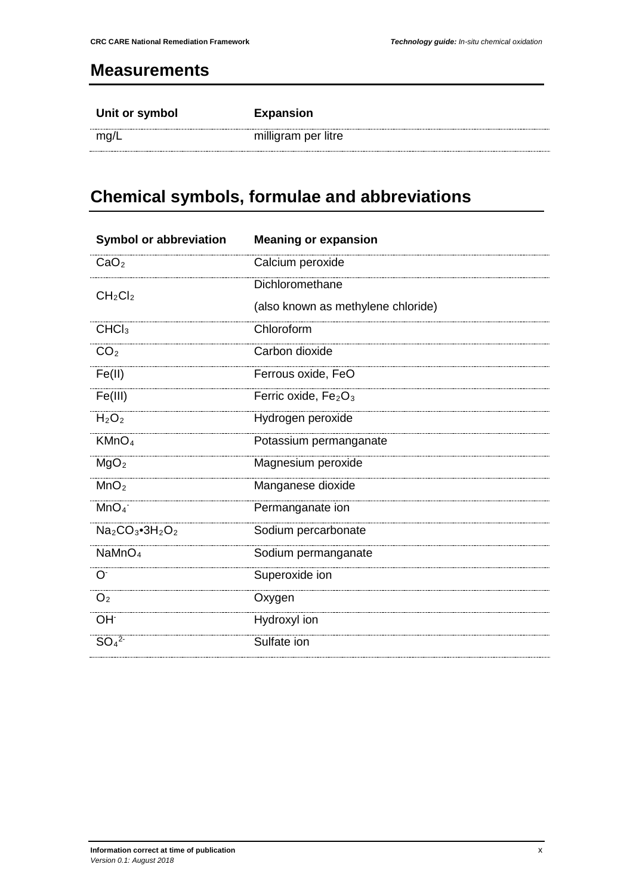### <span id="page-10-0"></span>**Measurements**

| Unit or symbol | <b>Expansion</b>    |
|----------------|---------------------|
| mg/L           | milligram per litre |

# <span id="page-10-1"></span>**Chemical symbols, formulae and abbreviations**

| <b>Symbol or abbreviation</b>            | <b>Meaning or expansion</b>        |
|------------------------------------------|------------------------------------|
| CaO <sub>2</sub>                         | Calcium peroxide                   |
| CH <sub>2</sub> Cl <sub>2</sub>          | Dichloromethane                    |
|                                          | (also known as methylene chloride) |
| CHCl <sub>3</sub>                        | Chloroform                         |
| CO <sub>2</sub>                          | Carbon dioxide                     |
| Fe(II)                                   | Ferrous oxide, FeO                 |
| Fe(III)                                  | Ferric oxide, $Fe2O3$              |
| H <sub>2</sub> O <sub>2</sub>            | Hydrogen peroxide                  |
| KMnO <sub>4</sub>                        | Potassium permanganate             |
| MgO <sub>2</sub>                         | Magnesium peroxide                 |
| MnO <sub>2</sub>                         | Manganese dioxide                  |
| MnO <sub>4</sub>                         | Permanganate ion                   |
| $Na2CO3$ •3H <sub>2</sub> O <sub>2</sub> | Sodium percarbonate                |
| NaMnO <sub>4</sub>                       | Sodium permanganate                |
| O <sup>2</sup>                           | Superoxide ion                     |
| O <sub>2</sub>                           | Oxygen                             |
| OH <sup>-</sup>                          | Hydroxyl ion                       |
| SO <sub>4</sub> <sup>2</sup>             | Sulfate ion                        |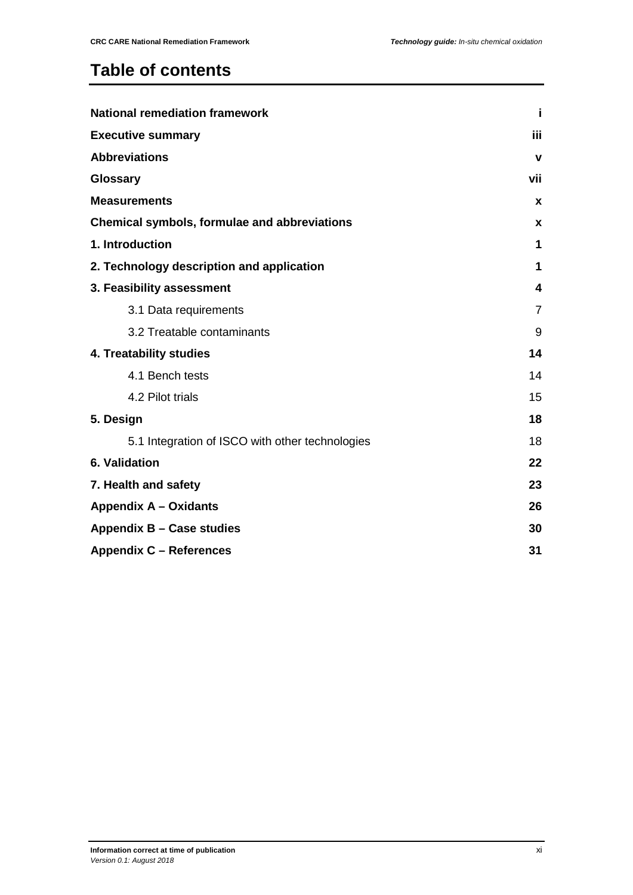## **Table of contents**

| <b>National remediation framework</b>           |                |
|-------------------------------------------------|----------------|
| <b>Executive summary</b>                        |                |
| <b>Abbreviations</b>                            | $\mathbf v$    |
| Glossary                                        | vii            |
| <b>Measurements</b>                             | $\mathbf{x}$   |
| Chemical symbols, formulae and abbreviations    | <b>X</b>       |
| 1. Introduction                                 | 1              |
| 2. Technology description and application       | 1              |
| 3. Feasibility assessment                       | 4              |
| 3.1 Data requirements                           | $\overline{7}$ |
| 3.2 Treatable contaminants                      | 9              |
| 4. Treatability studies                         |                |
| 4.1 Bench tests                                 | 14             |
| 4.2 Pilot trials                                | 15             |
| 5. Design                                       | 18             |
| 5.1 Integration of ISCO with other technologies | 18             |
| 6. Validation                                   | 22             |
| 7. Health and safety                            |                |
| <b>Appendix A - Oxidants</b>                    |                |
| Appendix B - Case studies                       |                |
| <b>Appendix C - References</b>                  |                |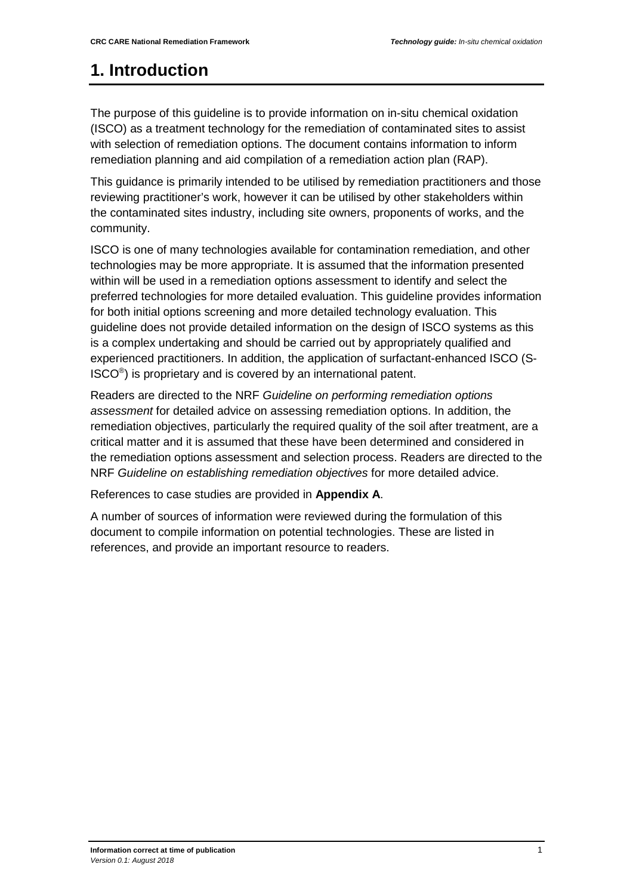## <span id="page-12-0"></span>**1. Introduction**

The purpose of this guideline is to provide information on in-situ chemical oxidation (ISCO) as a treatment technology for the remediation of contaminated sites to assist with selection of remediation options. The document contains information to inform remediation planning and aid compilation of a remediation action plan (RAP).

This guidance is primarily intended to be utilised by remediation practitioners and those reviewing practitioner's work, however it can be utilised by other stakeholders within the contaminated sites industry, including site owners, proponents of works, and the community.

ISCO is one of many technologies available for contamination remediation, and other technologies may be more appropriate. It is assumed that the information presented within will be used in a remediation options assessment to identify and select the preferred technologies for more detailed evaluation. This guideline provides information for both initial options screening and more detailed technology evaluation. This guideline does not provide detailed information on the design of ISCO systems as this is a complex undertaking and should be carried out by appropriately qualified and experienced practitioners. In addition, the application of surfactant-enhanced ISCO (S-ISCO®) is proprietary and is covered by an international patent.

Readers are directed to the NRF *Guideline on performing remediation options assessment* for detailed advice on assessing remediation options. In addition, the remediation objectives, particularly the required quality of the soil after treatment, are a critical matter and it is assumed that these have been determined and considered in the remediation options assessment and selection process. Readers are directed to the NRF *Guideline on establishing remediation objectives* for more detailed advice.

<span id="page-12-1"></span>References to case studies are provided in **Appendix A**.

A number of sources of information were reviewed during the formulation of this document to compile information on potential technologies. These are listed in references, and provide an important resource to readers.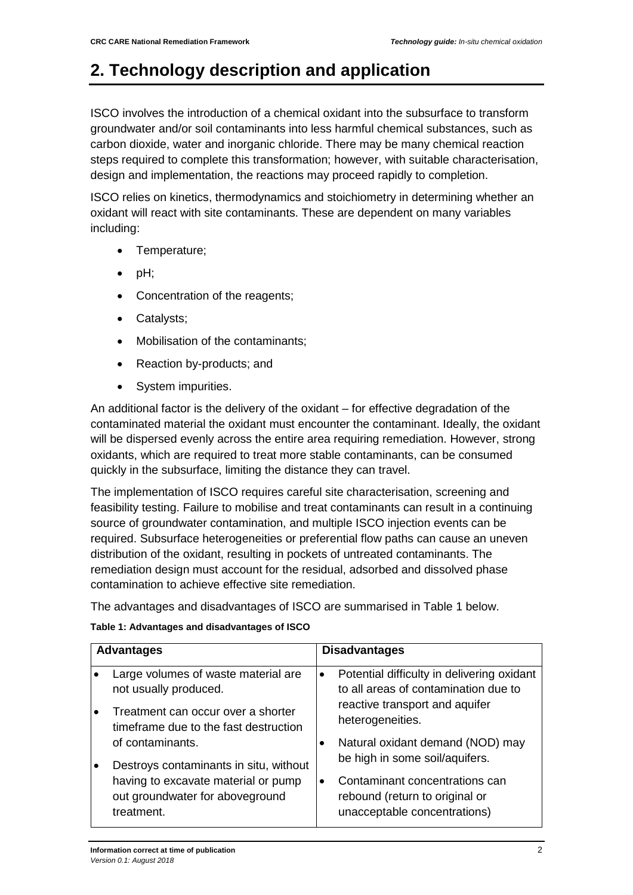## **2. Technology description and application**

ISCO involves the introduction of a chemical oxidant into the subsurface to transform groundwater and/or soil contaminants into less harmful chemical substances, such as carbon dioxide, water and inorganic chloride. There may be many chemical reaction steps required to complete this transformation; however, with suitable characterisation, design and implementation, the reactions may proceed rapidly to completion.

ISCO relies on kinetics, thermodynamics and stoichiometry in determining whether an oxidant will react with site contaminants. These are dependent on many variables including:

- Temperature;
- $\bullet$  pH;
- Concentration of the reagents;
- Catalysts;
- Mobilisation of the contaminants:
- Reaction by-products; and
- System impurities.

An additional factor is the delivery of the oxidant – for effective degradation of the contaminated material the oxidant must encounter the contaminant. Ideally, the oxidant will be dispersed evenly across the entire area requiring remediation. However, strong oxidants, which are required to treat more stable contaminants, can be consumed quickly in the subsurface, limiting the distance they can travel.

The implementation of ISCO requires careful site characterisation, screening and feasibility testing. Failure to mobilise and treat contaminants can result in a continuing source of groundwater contamination, and multiple ISCO injection events can be required. Subsurface heterogeneities or preferential flow paths can cause an uneven distribution of the oxidant, resulting in pockets of untreated contaminants. The remediation design must account for the residual, adsorbed and dissolved phase contamination to achieve effective site remediation.

The advantages and disadvantages of ISCO are summarised in Table 1 below.

| Table 1: Advantages and disadvantages of ISCO |  |
|-----------------------------------------------|--|
|-----------------------------------------------|--|

|           | <b>Advantages</b>                                                                    |           | <b>Disadvantages</b>                                                                             |
|-----------|--------------------------------------------------------------------------------------|-----------|--------------------------------------------------------------------------------------------------|
|           | Large volumes of waste material are<br>not usually produced.                         | $\bullet$ | Potential difficulty in delivering oxidant<br>to all areas of contamination due to               |
|           | Treatment can occur over a shorter<br>timeframe due to the fast destruction          |           | reactive transport and aquifer<br>heterogeneities.                                               |
|           | of contaminants.                                                                     |           | Natural oxidant demand (NOD) may                                                                 |
| $\bullet$ | Destroys contaminants in situ, without                                               |           | be high in some soil/aquifers.                                                                   |
|           | having to excavate material or pump<br>out groundwater for aboveground<br>treatment. | $\bullet$ | Contaminant concentrations can<br>rebound (return to original or<br>unacceptable concentrations) |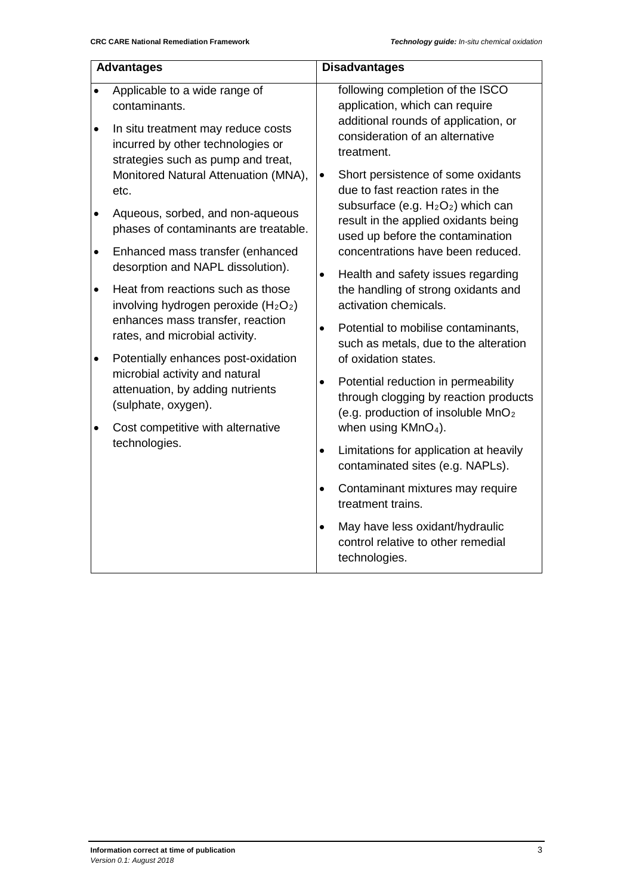|           | <b>Advantages</b>                                                                                                         |           | <b>Disadvantages</b>                                                                                                                                        |
|-----------|---------------------------------------------------------------------------------------------------------------------------|-----------|-------------------------------------------------------------------------------------------------------------------------------------------------------------|
| $\bullet$ | Applicable to a wide range of<br>contaminants.<br>In situ treatment may reduce costs<br>incurred by other technologies or |           | following completion of the ISCO<br>application, which can require<br>additional rounds of application, or<br>consideration of an alternative<br>treatment. |
|           | strategies such as pump and treat,<br>Monitored Natural Attenuation (MNA),<br>etc.                                        | $\bullet$ | Short persistence of some oxidants<br>due to fast reaction rates in the                                                                                     |
| ٠         | Aqueous, sorbed, and non-aqueous<br>phases of contaminants are treatable.                                                 |           | subsurface (e.g. $H_2O_2$ ) which can<br>result in the applied oxidants being<br>used up before the contamination                                           |
| $\bullet$ | Enhanced mass transfer (enhanced<br>desorption and NAPL dissolution).                                                     |           | concentrations have been reduced.                                                                                                                           |
| $\bullet$ | Heat from reactions such as those<br>involving hydrogen peroxide $(H_2O_2)$                                               | $\bullet$ | Health and safety issues regarding<br>the handling of strong oxidants and<br>activation chemicals.                                                          |
|           | enhances mass transfer, reaction<br>rates, and microbial activity.                                                        | $\bullet$ | Potential to mobilise contaminants,<br>such as metals, due to the alteration                                                                                |
| $\bullet$ | Potentially enhances post-oxidation<br>microbial activity and natural                                                     |           | of oxidation states.                                                                                                                                        |
|           | attenuation, by adding nutrients<br>(sulphate, oxygen).                                                                   | $\bullet$ | Potential reduction in permeability<br>through clogging by reaction products<br>(e.g. production of insoluble MnO <sub>2</sub>                              |
| ٠         | Cost competitive with alternative<br>technologies.                                                                        |           | when using $KMnO4$ ).                                                                                                                                       |
|           |                                                                                                                           | $\bullet$ | Limitations for application at heavily<br>contaminated sites (e.g. NAPLs).                                                                                  |
|           |                                                                                                                           | $\bullet$ | Contaminant mixtures may require<br>treatment trains.                                                                                                       |
|           |                                                                                                                           | $\bullet$ | May have less oxidant/hydraulic<br>control relative to other remedial<br>technologies.                                                                      |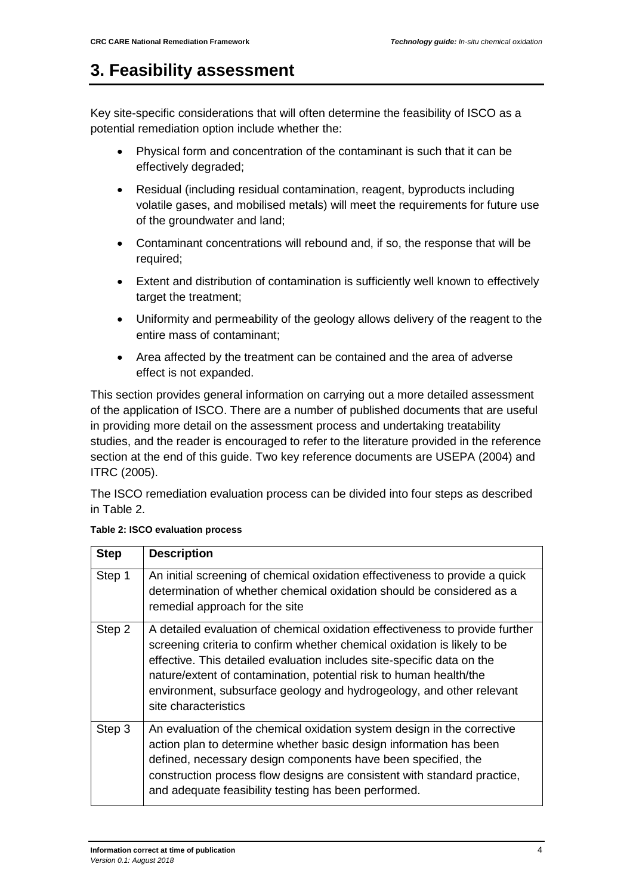### <span id="page-15-0"></span>**3. Feasibility assessment**

Key site-specific considerations that will often determine the feasibility of ISCO as a potential remediation option include whether the:

- Physical form and concentration of the contaminant is such that it can be effectively degraded;
- Residual (including residual contamination, reagent, byproducts including volatile gases, and mobilised metals) will meet the requirements for future use of the groundwater and land;
- Contaminant concentrations will rebound and, if so, the response that will be required;
- Extent and distribution of contamination is sufficiently well known to effectively target the treatment;
- Uniformity and permeability of the geology allows delivery of the reagent to the entire mass of contaminant;
- Area affected by the treatment can be contained and the area of adverse effect is not expanded.

This section provides general information on carrying out a more detailed assessment of the application of ISCO. There are a number of published documents that are useful in providing more detail on the assessment process and undertaking treatability studies, and the reader is encouraged to refer to the literature provided in the reference section at the end of this guide. Two key reference documents are USEPA (2004) and ITRC (2005).

The ISCO remediation evaluation process can be divided into four steps as described in Table 2.

| <b>Step</b> | <b>Description</b>                                                                                                                                                                                                                                                                                                                                                                                       |
|-------------|----------------------------------------------------------------------------------------------------------------------------------------------------------------------------------------------------------------------------------------------------------------------------------------------------------------------------------------------------------------------------------------------------------|
| Step 1      | An initial screening of chemical oxidation effectiveness to provide a quick<br>determination of whether chemical oxidation should be considered as a<br>remedial approach for the site                                                                                                                                                                                                                   |
| Step 2      | A detailed evaluation of chemical oxidation effectiveness to provide further<br>screening criteria to confirm whether chemical oxidation is likely to be<br>effective. This detailed evaluation includes site-specific data on the<br>nature/extent of contamination, potential risk to human health/the<br>environment, subsurface geology and hydrogeology, and other relevant<br>site characteristics |
| Step 3      | An evaluation of the chemical oxidation system design in the corrective<br>action plan to determine whether basic design information has been<br>defined, necessary design components have been specified, the<br>construction process flow designs are consistent with standard practice,<br>and adequate feasibility testing has been performed.                                                       |

#### **Table 2: ISCO evaluation process**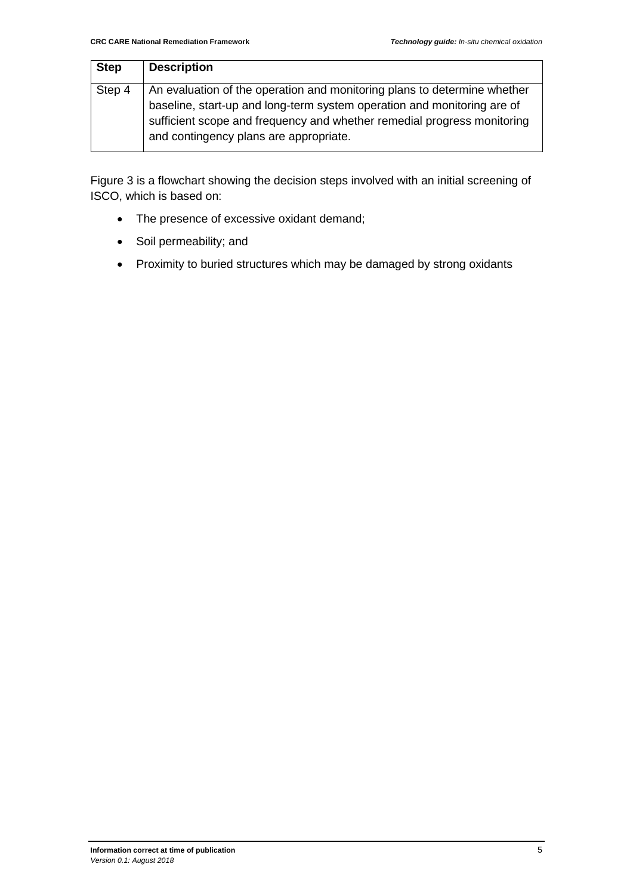| <b>Step</b> | <b>Description</b>                                                                                                                                                                                                                                                       |
|-------------|--------------------------------------------------------------------------------------------------------------------------------------------------------------------------------------------------------------------------------------------------------------------------|
| Step 4      | An evaluation of the operation and monitoring plans to determine whether<br>baseline, start-up and long-term system operation and monitoring are of<br>sufficient scope and frequency and whether remedial progress monitoring<br>and contingency plans are appropriate. |

Figure 3 is a flowchart showing the decision steps involved with an initial screening of ISCO, which is based on:

- The presence of excessive oxidant demand;
- Soil permeability; and
- Proximity to buried structures which may be damaged by strong oxidants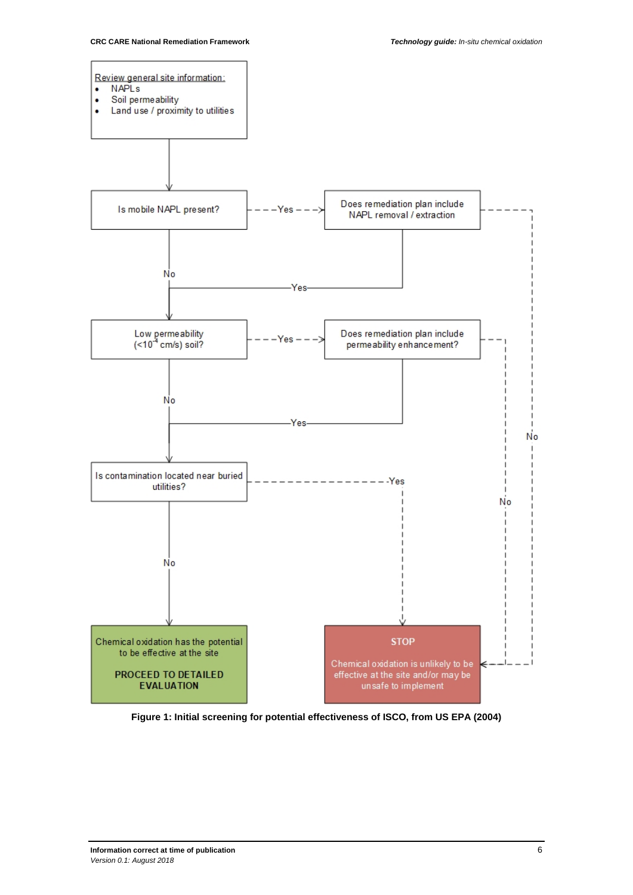

**Figure 1: Initial screening for potential effectiveness of ISCO, from US EPA (2004)**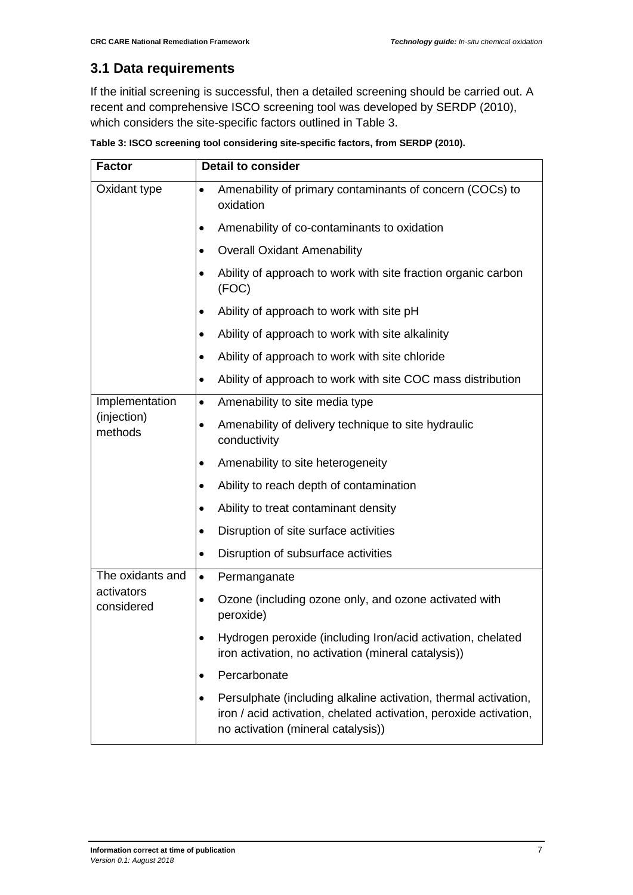### <span id="page-18-0"></span>**3.1 Data requirements**

If the initial screening is successful, then a detailed screening should be carried out. A recent and comprehensive ISCO screening tool was developed by SERDP (2010), which considers the site-specific factors outlined in Table 3.

| <b>Factor</b>            | <b>Detail to consider</b>                                                                                                                                                       |
|--------------------------|---------------------------------------------------------------------------------------------------------------------------------------------------------------------------------|
| Oxidant type             | Amenability of primary contaminants of concern (COCs) to<br>$\bullet$<br>oxidation                                                                                              |
|                          | Amenability of co-contaminants to oxidation<br>٠                                                                                                                                |
|                          | <b>Overall Oxidant Amenability</b>                                                                                                                                              |
|                          | Ability of approach to work with site fraction organic carbon<br>$\bullet$<br>(FOC)                                                                                             |
|                          | Ability of approach to work with site pH                                                                                                                                        |
|                          | Ability of approach to work with site alkalinity                                                                                                                                |
|                          | Ability of approach to work with site chloride<br>$\bullet$                                                                                                                     |
|                          | Ability of approach to work with site COC mass distribution                                                                                                                     |
| Implementation           | Amenability to site media type<br>$\bullet$                                                                                                                                     |
| (injection)<br>methods   | Amenability of delivery technique to site hydraulic<br>٠<br>conductivity                                                                                                        |
|                          | Amenability to site heterogeneity                                                                                                                                               |
|                          | Ability to reach depth of contamination                                                                                                                                         |
|                          | Ability to treat contaminant density                                                                                                                                            |
|                          | Disruption of site surface activities<br>$\bullet$                                                                                                                              |
|                          | Disruption of subsurface activities<br>$\bullet$                                                                                                                                |
| The oxidants and         | Permanganate<br>$\bullet$                                                                                                                                                       |
| activators<br>considered | Ozone (including ozone only, and ozone activated with<br>$\bullet$<br>peroxide)                                                                                                 |
|                          | Hydrogen peroxide (including Iron/acid activation, chelated<br>iron activation, no activation (mineral catalysis))                                                              |
|                          | Percarbonate<br>$\bullet$                                                                                                                                                       |
|                          | Persulphate (including alkaline activation, thermal activation,<br>٠<br>iron / acid activation, chelated activation, peroxide activation,<br>no activation (mineral catalysis)) |

**Table 3: ISCO screening tool considering site-specific factors, from SERDP (2010).**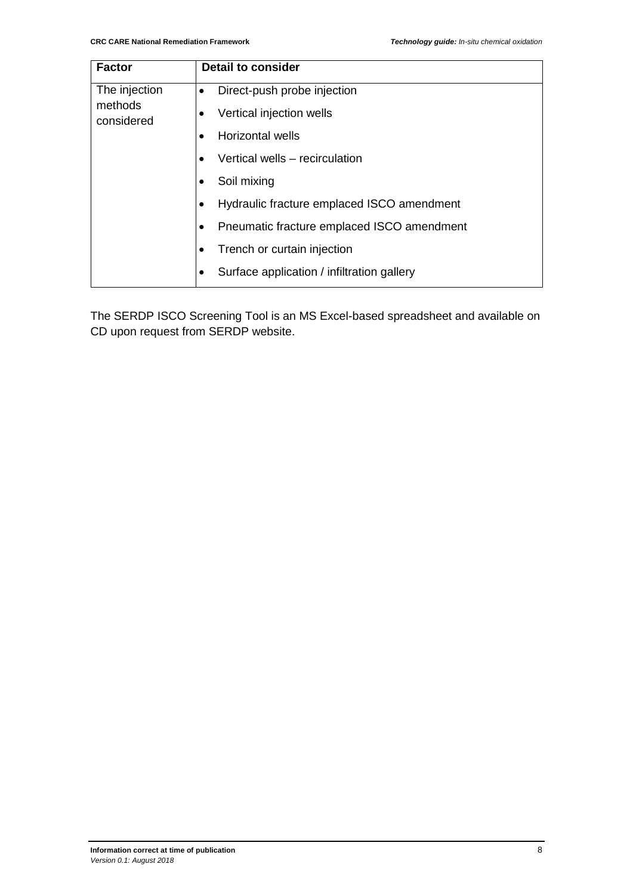| <b>Factor</b>         | <b>Detail to consider</b>                  |
|-----------------------|--------------------------------------------|
| The injection         | Direct-push probe injection<br>$\bullet$   |
| methods<br>considered | Vertical injection wells                   |
|                       | Horizontal wells                           |
|                       | Vertical wells - recirculation             |
|                       | Soil mixing                                |
|                       | Hydraulic fracture emplaced ISCO amendment |
|                       | Pneumatic fracture emplaced ISCO amendment |
|                       | Trench or curtain injection                |
|                       | Surface application / infiltration gallery |

The SERDP ISCO Screening Tool is an MS Excel-based spreadsheet and available on CD upon request from SERDP website.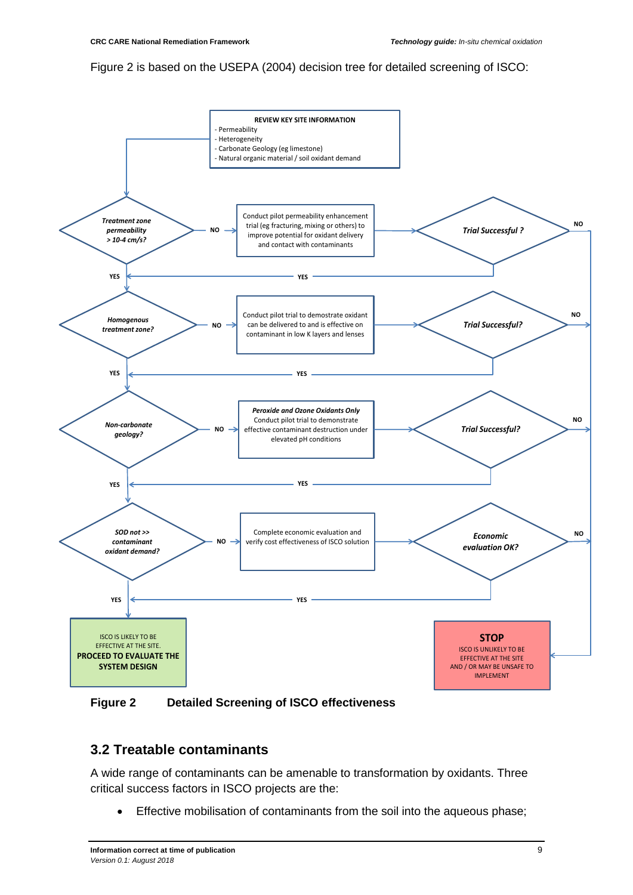#### Figure 2 is based on the USEPA (2004) decision tree for detailed screening of ISCO:



**Figure 2 Detailed Screening of ISCO effectiveness**

### <span id="page-20-0"></span>**3.2 Treatable contaminants**

A wide range of contaminants can be amenable to transformation by oxidants. Three critical success factors in ISCO projects are the:

• Effective mobilisation of contaminants from the soil into the aqueous phase;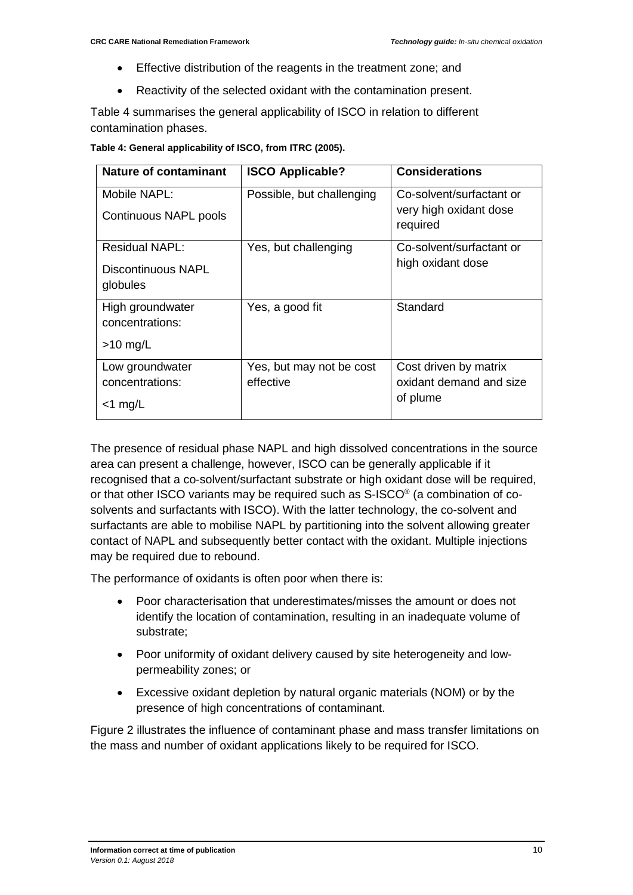- Effective distribution of the reagents in the treatment zone; and
- Reactivity of the selected oxidant with the contamination present.

Table 4 summarises the general applicability of ISCO in relation to different contamination phases.

**Table 4: General applicability of ISCO, from ITRC (2005).**

| <b>Nature of contaminant</b> | <b>ISCO Applicable?</b>   | <b>Considerations</b>              |
|------------------------------|---------------------------|------------------------------------|
| Mobile NAPL:                 | Possible, but challenging | Co-solvent/surfactant or           |
| Continuous NAPL pools        |                           | very high oxidant dose<br>required |
| <b>Residual NAPL:</b>        | Yes, but challenging      | Co-solvent/surfactant or           |
| Discontinuous NAPL           |                           | high oxidant dose                  |
| globules                     |                           |                                    |
| High groundwater             | Yes, a good fit           | Standard                           |
| concentrations:              |                           |                                    |
| $>10$ mg/L                   |                           |                                    |
| Low groundwater              | Yes, but may not be cost  | Cost driven by matrix              |
| concentrations:              | effective                 | oxidant demand and size            |
| $<$ 1 mg/L                   |                           | of plume                           |

The presence of residual phase NAPL and high dissolved concentrations in the source area can present a challenge, however, ISCO can be generally applicable if it recognised that a co-solvent/surfactant substrate or high oxidant dose will be required, or that other ISCO variants may be required such as S-ISCO® (a combination of cosolvents and surfactants with ISCO). With the latter technology, the co-solvent and surfactants are able to mobilise NAPL by partitioning into the solvent allowing greater contact of NAPL and subsequently better contact with the oxidant. Multiple injections may be required due to rebound.

The performance of oxidants is often poor when there is:

- Poor characterisation that underestimates/misses the amount or does not identify the location of contamination, resulting in an inadequate volume of substrate;
- Poor uniformity of oxidant delivery caused by site heterogeneity and lowpermeability zones; or
- Excessive oxidant depletion by natural organic materials (NOM) or by the presence of high concentrations of contaminant.

Figure 2 illustrates the influence of contaminant phase and mass transfer limitations on the mass and number of oxidant applications likely to be required for ISCO.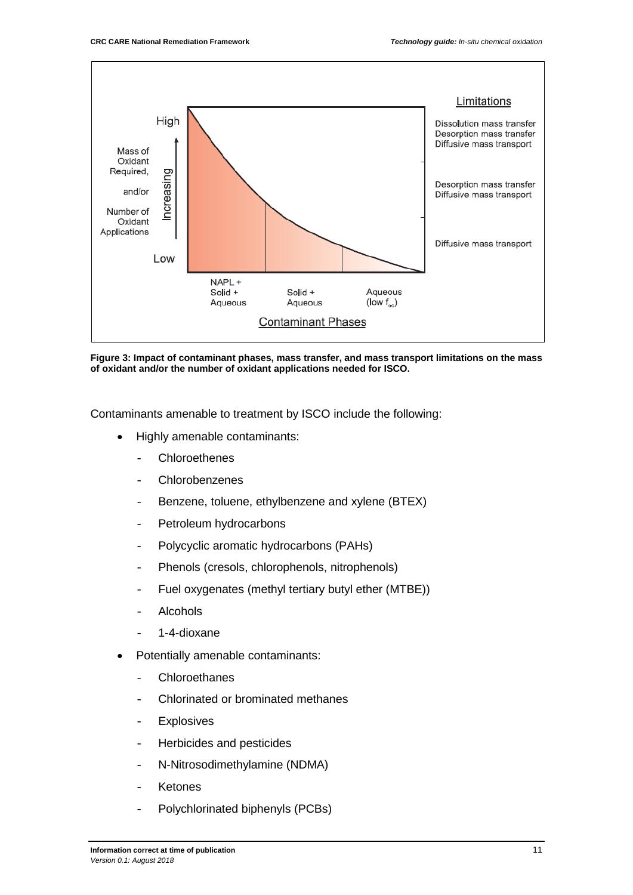

**Figure 3: Impact of contaminant phases, mass transfer, and mass transport limitations on the mass of oxidant and/or the number of oxidant applications needed for ISCO.**

Contaminants amenable to treatment by ISCO include the following:

- Highly amenable contaminants:
	- **Chloroethenes**
	- Chlorobenzenes
	- Benzene, toluene, ethylbenzene and xylene (BTEX)
	- Petroleum hydrocarbons
	- Polycyclic aromatic hydrocarbons (PAHs)
	- Phenols (cresols, chlorophenols, nitrophenols)
	- Fuel oxygenates (methyl tertiary butyl ether (MTBE))
	- **Alcohols**
	- 1-4-dioxane
- Potentially amenable contaminants:
	- Chloroethanes
	- Chlorinated or brominated methanes
	- Explosives
	- Herbicides and pesticides
	- N-Nitrosodimethylamine (NDMA)
	- **Ketones**
	- Polychlorinated biphenyls (PCBs)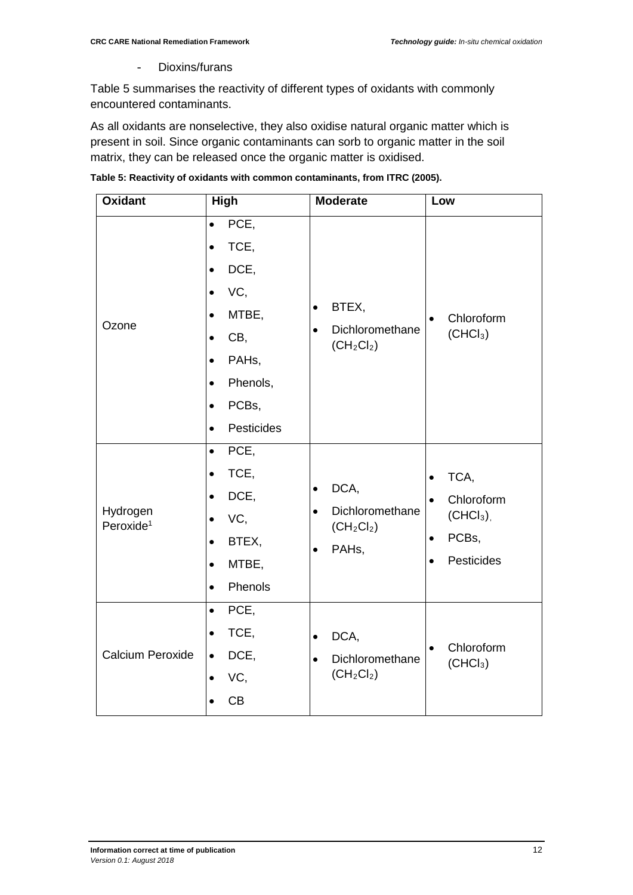- Dioxins/furans

Table 5 summarises the reactivity of different types of oxidants with commonly encountered contaminants.

As all oxidants are nonselective, they also oxidise natural organic matter which is present in soil. Since organic contaminants can sorb to organic matter in the soil matrix, they can be released once the organic matter is oxidised.

| Table 5: Reactivity of oxidants with common contaminants, from ITRC (2005). |  |
|-----------------------------------------------------------------------------|--|
|                                                                             |  |

| <b>Oxidant</b>                    | High                                                                                                                                                                                                                      | <b>Moderate</b>                                                                                      | Low                                                                            |
|-----------------------------------|---------------------------------------------------------------------------------------------------------------------------------------------------------------------------------------------------------------------------|------------------------------------------------------------------------------------------------------|--------------------------------------------------------------------------------|
| Ozone                             | PCE,<br>$\bullet$<br>TCE,<br>$\bullet$<br>DCE,<br>$\bullet$<br>VC,<br>$\bullet$<br>MTBE,<br>$\bullet$<br>CB,<br>$\bullet$<br>PAHs,<br>$\bullet$<br>Phenols,<br>$\bullet$<br>PCBs,<br>$\bullet$<br>Pesticides<br>$\bullet$ | BTEX,<br>$\bullet$<br>Dichloromethane<br>$\bullet$<br>$(CH_2Cl_2)$                                   | Chloroform<br>(CHCl <sub>3</sub> )                                             |
| Hydrogen<br>Peroxide <sup>1</sup> | PCE,<br>$\bullet$<br>TCE,<br>$\bullet$<br>DCE,<br>$\bullet$<br>VC,<br>$\bullet$<br>BTEX,<br>$\bullet$<br>MTBE,<br>$\bullet$<br>Phenols<br>$\bullet$                                                                       | DCA,<br>$\bullet$<br>Dichloromethane<br>$\bullet$<br>$(CH_2Cl_2)$<br>PAH <sub>s</sub> ,<br>$\bullet$ | TCA,<br>Chloroform<br>(CHCl <sub>3</sub> )<br>PCBs,<br>Pesticides<br>$\bullet$ |
| Calcium Peroxide                  | PCE,<br>$\bullet$<br>TCE,<br>$\bullet$<br>DCE,<br>$\bullet$<br>VC,<br>CB                                                                                                                                                  | DCA,<br>$\bullet$<br>Dichloromethane<br>$\bullet$<br>$(CH_2Cl_2)$                                    | Chloroform<br>(CHCl <sub>3</sub> )                                             |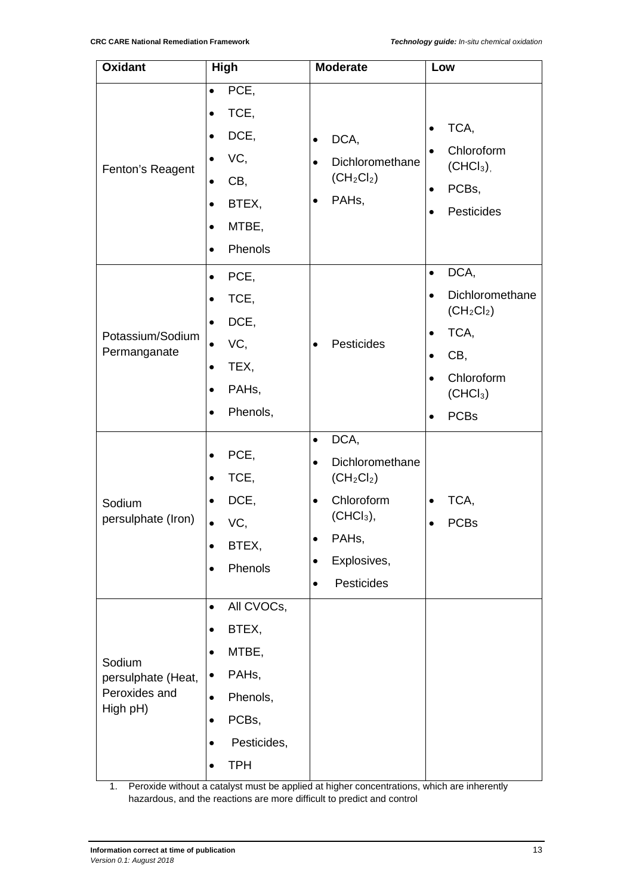| <b>Oxidant</b>                                            | High                                                                                                                                             | <b>Moderate</b>                                                                                                                                                                          | Low                                                                                                                                                             |
|-----------------------------------------------------------|--------------------------------------------------------------------------------------------------------------------------------------------------|------------------------------------------------------------------------------------------------------------------------------------------------------------------------------------------|-----------------------------------------------------------------------------------------------------------------------------------------------------------------|
| Fenton's Reagent                                          | PCE,<br>$\bullet$<br>TCE,<br>DCE,<br>VC,<br>$\bullet$<br>CB,<br>$\bullet$<br>BTEX,<br>$\bullet$<br>MTBE,<br>$\bullet$<br>Phenols<br>$\bullet$    | DCA,<br>$\bullet$<br>Dichloromethane<br>$\bullet$<br>$(CH_2Cl_2)$<br>PAHs,<br>$\bullet$                                                                                                  | TCA,<br>Chloroform<br>$(CHCl3)$ ,<br>PCBs,<br>$\bullet$<br>Pesticides                                                                                           |
| Potassium/Sodium<br>Permanganate                          | PCE,<br>$\bullet$<br>TCE,<br>$\bullet$<br>DCE,<br>$\bullet$<br>VC,<br>$\bullet$<br>TEX,<br>PAH <sub>s</sub> ,<br>Phenols,<br>$\bullet$           | Pesticides<br>$\bullet$                                                                                                                                                                  | DCA,<br>$\bullet$<br>Dichloromethane<br>$\bullet$<br>$(CH_2Cl_2)$<br>TCA,<br>$\bullet$<br>CB,<br>$\bullet$<br>Chloroform<br>(CHCl <sub>3</sub> )<br><b>PCBs</b> |
| Sodium<br>persulphate (Iron)                              | PCE,<br>TCE,<br>DCE,<br>VC,<br>$\bullet$<br>BTEX,<br>Phenols                                                                                     | DCA,<br>$\bullet$<br>Dichloromethane<br>$\bullet$<br>$(CH_2Cl_2)$<br>Chloroform<br>$\bullet$<br>$(CHCl3)$ ,<br>PAHs,<br>$\bullet$<br>Explosives,<br>$\bullet$<br>Pesticides<br>$\bullet$ | TCA,<br>$\bullet$<br><b>PCBs</b>                                                                                                                                |
| Sodium<br>persulphate (Heat,<br>Peroxides and<br>High pH) | All CVOCs,<br>$\bullet$<br>BTEX,<br>$\bullet$<br>MTBE,<br>PAH <sub>s</sub> ,<br>٠<br>Phenols,<br>$\bullet$<br>PCBs,<br>Pesticides,<br><b>TPH</b> |                                                                                                                                                                                          |                                                                                                                                                                 |

1. Peroxide without a catalyst must be applied at higher concentrations, which are inherently hazardous, and the reactions are more difficult to predict and control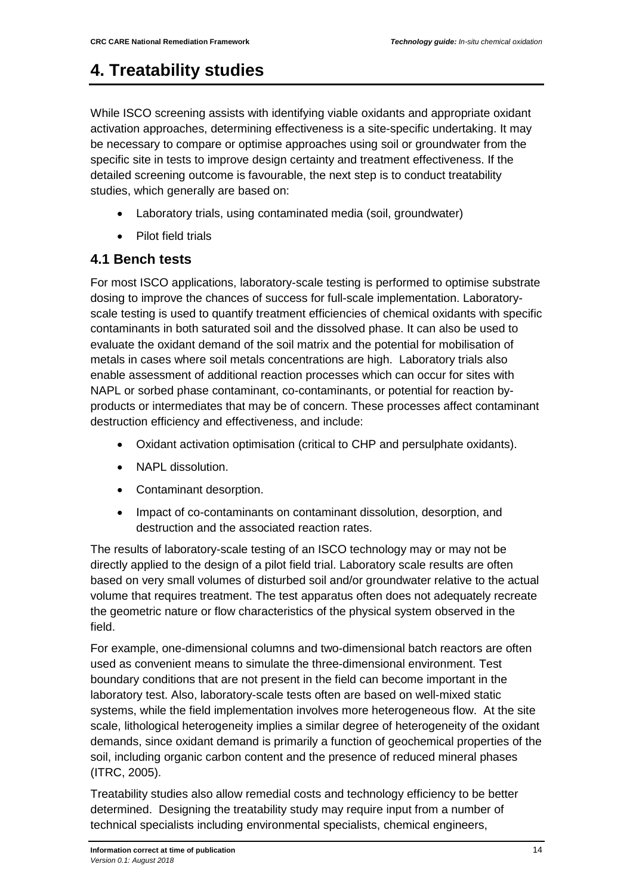## <span id="page-25-0"></span>**4. Treatability studies**

While ISCO screening assists with identifying viable oxidants and appropriate oxidant activation approaches, determining effectiveness is a site-specific undertaking. It may be necessary to compare or optimise approaches using soil or groundwater from the specific site in tests to improve design certainty and treatment effectiveness. If the detailed screening outcome is favourable, the next step is to conduct treatability studies, which generally are based on:

- Laboratory trials, using contaminated media (soil, groundwater)
- Pilot field trials

### <span id="page-25-1"></span>**4.1 Bench tests**

For most ISCO applications, laboratory-scale testing is performed to optimise substrate dosing to improve the chances of success for full-scale implementation. Laboratoryscale testing is used to quantify treatment efficiencies of chemical oxidants with specific contaminants in both saturated soil and the dissolved phase. It can also be used to evaluate the oxidant demand of the soil matrix and the potential for mobilisation of metals in cases where soil metals concentrations are high. Laboratory trials also enable assessment of additional reaction processes which can occur for sites with NAPL or sorbed phase contaminant, co-contaminants, or potential for reaction byproducts or intermediates that may be of concern. These processes affect contaminant destruction efficiency and effectiveness, and include:

- Oxidant activation optimisation (critical to CHP and persulphate oxidants).
- NAPL dissolution.
- Contaminant desorption.
- Impact of co-contaminants on contaminant dissolution, desorption, and destruction and the associated reaction rates.

The results of laboratory-scale testing of an ISCO technology may or may not be directly applied to the design of a pilot field trial. Laboratory scale results are often based on very small volumes of disturbed soil and/or groundwater relative to the actual volume that requires treatment. The test apparatus often does not adequately recreate the geometric nature or flow characteristics of the physical system observed in the field.

For example, one-dimensional columns and two-dimensional batch reactors are often used as convenient means to simulate the three-dimensional environment. Test boundary conditions that are not present in the field can become important in the laboratory test. Also, laboratory-scale tests often are based on well-mixed static systems, while the field implementation involves more heterogeneous flow. At the site scale, lithological heterogeneity implies a similar degree of heterogeneity of the oxidant demands, since oxidant demand is primarily a function of geochemical properties of the soil, including organic carbon content and the presence of reduced mineral phases (ITRC, 2005).

Treatability studies also allow remedial costs and technology efficiency to be better determined. Designing the treatability study may require input from a number of technical specialists including environmental specialists, chemical engineers,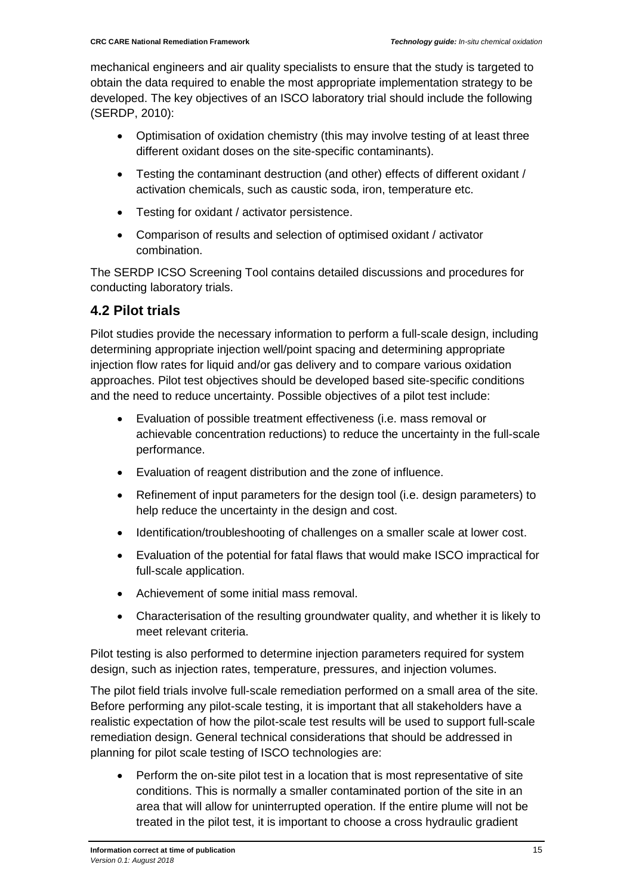mechanical engineers and air quality specialists to ensure that the study is targeted to obtain the data required to enable the most appropriate implementation strategy to be developed. The key objectives of an ISCO laboratory trial should include the following (SERDP, 2010):

- Optimisation of oxidation chemistry (this may involve testing of at least three different oxidant doses on the site-specific contaminants).
- Testing the contaminant destruction (and other) effects of different oxidant / activation chemicals, such as caustic soda, iron, temperature etc.
- Testing for oxidant / activator persistence.
- Comparison of results and selection of optimised oxidant / activator combination.

The SERDP ICSO Screening Tool contains detailed discussions and procedures for conducting laboratory trials.

### <span id="page-26-0"></span>**4.2 Pilot trials**

Pilot studies provide the necessary information to perform a full-scale design, including determining appropriate injection well/point spacing and determining appropriate injection flow rates for liquid and/or gas delivery and to compare various oxidation approaches. Pilot test objectives should be developed based site-specific conditions and the need to reduce uncertainty. Possible objectives of a pilot test include:

- Evaluation of possible treatment effectiveness (i.e. mass removal or achievable concentration reductions) to reduce the uncertainty in the full-scale performance.
- Evaluation of reagent distribution and the zone of influence.
- Refinement of input parameters for the design tool (i.e. design parameters) to help reduce the uncertainty in the design and cost.
- Identification/troubleshooting of challenges on a smaller scale at lower cost.
- Evaluation of the potential for fatal flaws that would make ISCO impractical for full-scale application.
- Achievement of some initial mass removal.
- Characterisation of the resulting groundwater quality, and whether it is likely to meet relevant criteria.

Pilot testing is also performed to determine injection parameters required for system design, such as injection rates, temperature, pressures, and injection volumes.

The pilot field trials involve full-scale remediation performed on a small area of the site. Before performing any pilot-scale testing, it is important that all stakeholders have a realistic expectation of how the pilot-scale test results will be used to support full-scale remediation design. General technical considerations that should be addressed in planning for pilot scale testing of ISCO technologies are:

• Perform the on-site pilot test in a location that is most representative of site conditions. This is normally a smaller contaminated portion of the site in an area that will allow for uninterrupted operation. If the entire plume will not be treated in the pilot test, it is important to choose a cross hydraulic gradient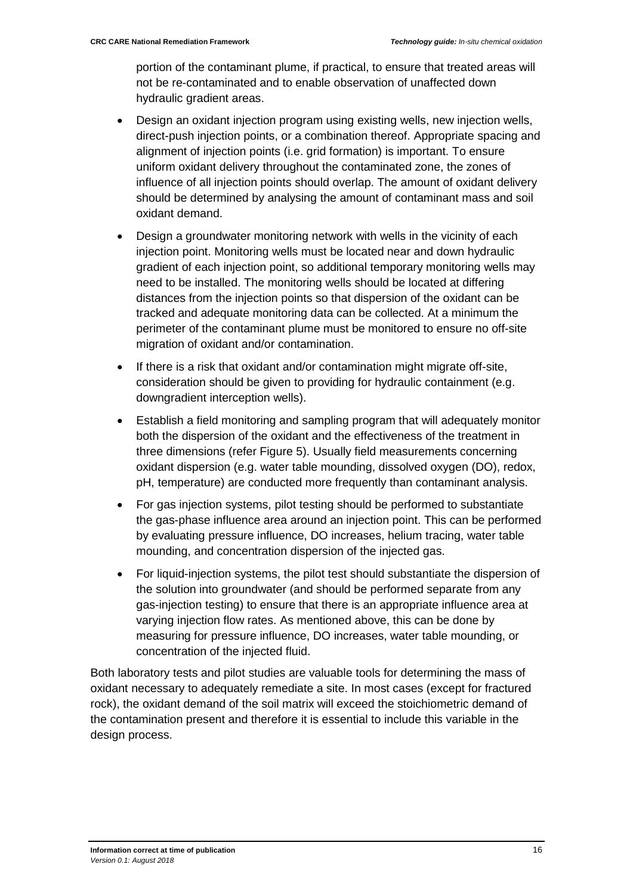portion of the contaminant plume, if practical, to ensure that treated areas will not be re-contaminated and to enable observation of unaffected down hydraulic gradient areas.

- Design an oxidant injection program using existing wells, new injection wells, direct-push injection points, or a combination thereof. Appropriate spacing and alignment of injection points (i.e. grid formation) is important. To ensure uniform oxidant delivery throughout the contaminated zone, the zones of influence of all injection points should overlap. The amount of oxidant delivery should be determined by analysing the amount of contaminant mass and soil oxidant demand.
- Design a groundwater monitoring network with wells in the vicinity of each injection point. Monitoring wells must be located near and down hydraulic gradient of each injection point, so additional temporary monitoring wells may need to be installed. The monitoring wells should be located at differing distances from the injection points so that dispersion of the oxidant can be tracked and adequate monitoring data can be collected. At a minimum the perimeter of the contaminant plume must be monitored to ensure no off-site migration of oxidant and/or contamination.
- If there is a risk that oxidant and/or contamination might migrate off-site, consideration should be given to providing for hydraulic containment (e.g. downgradient interception wells).
- Establish a field monitoring and sampling program that will adequately monitor both the dispersion of the oxidant and the effectiveness of the treatment in three dimensions (refer Figure 5). Usually field measurements concerning oxidant dispersion (e.g. water table mounding, dissolved oxygen (DO), redox, pH, temperature) are conducted more frequently than contaminant analysis.
- For gas injection systems, pilot testing should be performed to substantiate the gas-phase influence area around an injection point. This can be performed by evaluating pressure influence, DO increases, helium tracing, water table mounding, and concentration dispersion of the injected gas.
- For liquid-injection systems, the pilot test should substantiate the dispersion of the solution into groundwater (and should be performed separate from any gas-injection testing) to ensure that there is an appropriate influence area at varying injection flow rates. As mentioned above, this can be done by measuring for pressure influence, DO increases, water table mounding, or concentration of the injected fluid.

Both laboratory tests and pilot studies are valuable tools for determining the mass of oxidant necessary to adequately remediate a site. In most cases (except for fractured rock), the oxidant demand of the soil matrix will exceed the stoichiometric demand of the contamination present and therefore it is essential to include this variable in the design process.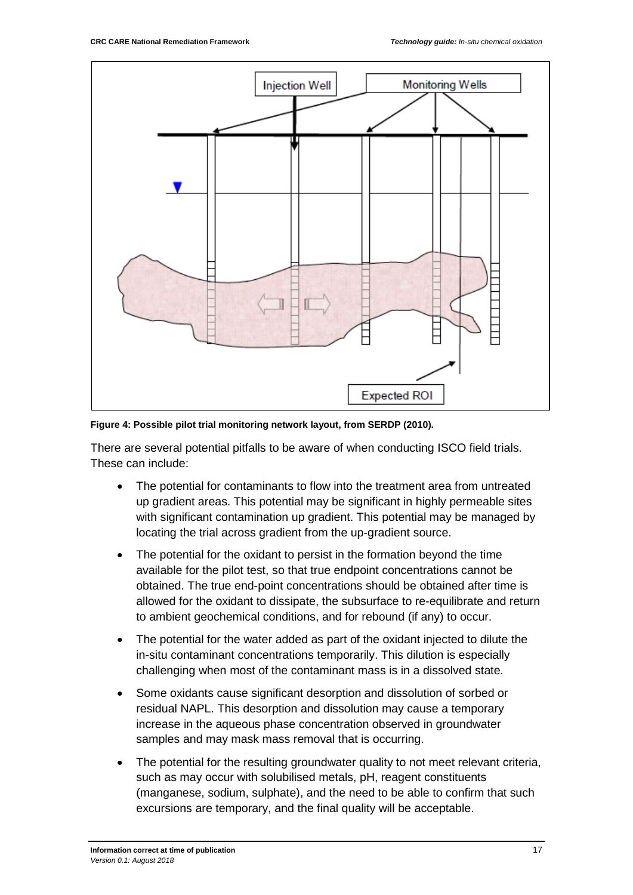

**Figure 4: Possible pilot trial monitoring network layout, from SERDP (2010).**

There are several potential pitfalls to be aware of when conducting ISCO field trials. These can include:

- The potential for contaminants to flow into the treatment area from untreated up gradient areas. This potential may be significant in highly permeable sites with significant contamination up gradient. This potential may be managed by locating the trial across gradient from the up-gradient source.
- The potential for the oxidant to persist in the formation beyond the time available for the pilot test, so that true endpoint concentrations cannot be obtained. The true end-point concentrations should be obtained after time is allowed for the oxidant to dissipate, the subsurface to re-equilibrate and return to ambient geochemical conditions, and for rebound (if any) to occur.
- The potential for the water added as part of the oxidant injected to dilute the in-situ contaminant concentrations temporarily. This dilution is especially challenging when most of the contaminant mass is in a dissolved state.
- Some oxidants cause significant desorption and dissolution of sorbed or residual NAPL. This desorption and dissolution may cause a temporary increase in the aqueous phase concentration observed in groundwater samples and may mask mass removal that is occurring.
- The potential for the resulting groundwater quality to not meet relevant criteria. such as may occur with solubilised metals, pH, reagent constituents (manganese, sodium, sulphate), and the need to be able to confirm that such excursions are temporary, and the final quality will be acceptable.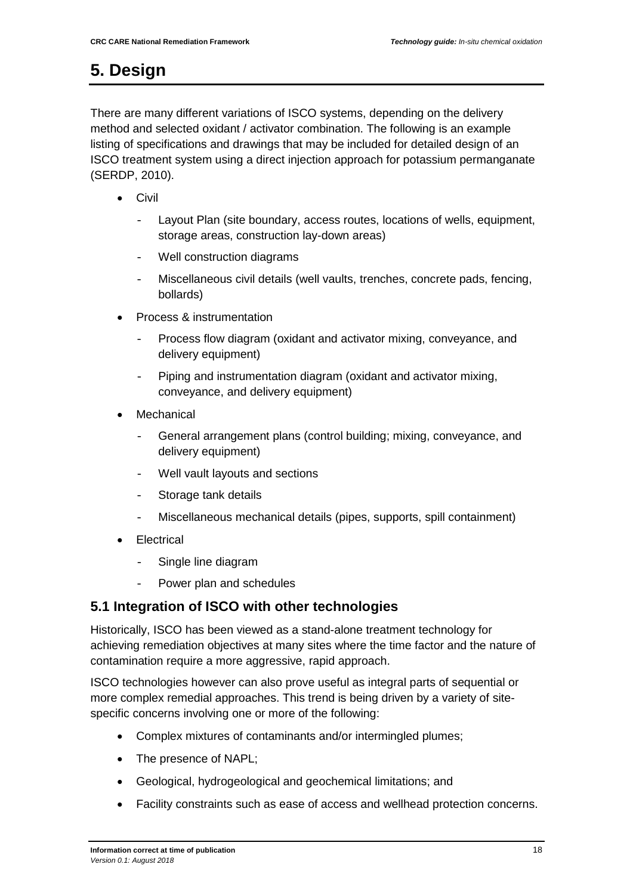# <span id="page-29-0"></span>**5. Design**

There are many different variations of ISCO systems, depending on the delivery method and selected oxidant / activator combination. The following is an example listing of specifications and drawings that may be included for detailed design of an ISCO treatment system using a direct injection approach for potassium permanganate (SERDP, 2010).

- Civil
	- Layout Plan (site boundary, access routes, locations of wells, equipment, storage areas, construction lay-down areas)
	- Well construction diagrams
	- Miscellaneous civil details (well vaults, trenches, concrete pads, fencing, bollards)
- Process & instrumentation
	- Process flow diagram (oxidant and activator mixing, conveyance, and delivery equipment)
	- Piping and instrumentation diagram (oxidant and activator mixing, conveyance, and delivery equipment)
- **Mechanical** 
	- General arrangement plans (control building; mixing, conveyance, and delivery equipment)
	- Well vault layouts and sections
	- Storage tank details
	- Miscellaneous mechanical details (pipes, supports, spill containment)
- **Electrical** 
	- Single line diagram
	- Power plan and schedules

### <span id="page-29-1"></span>**5.1 Integration of ISCO with other technologies**

Historically, ISCO has been viewed as a stand-alone treatment technology for achieving remediation objectives at many sites where the time factor and the nature of contamination require a more aggressive, rapid approach.

ISCO technologies however can also prove useful as integral parts of sequential or more complex remedial approaches. This trend is being driven by a variety of sitespecific concerns involving one or more of the following:

- Complex mixtures of contaminants and/or intermingled plumes;
- The presence of NAPL;
- Geological, hydrogeological and geochemical limitations; and
- Facility constraints such as ease of access and wellhead protection concerns.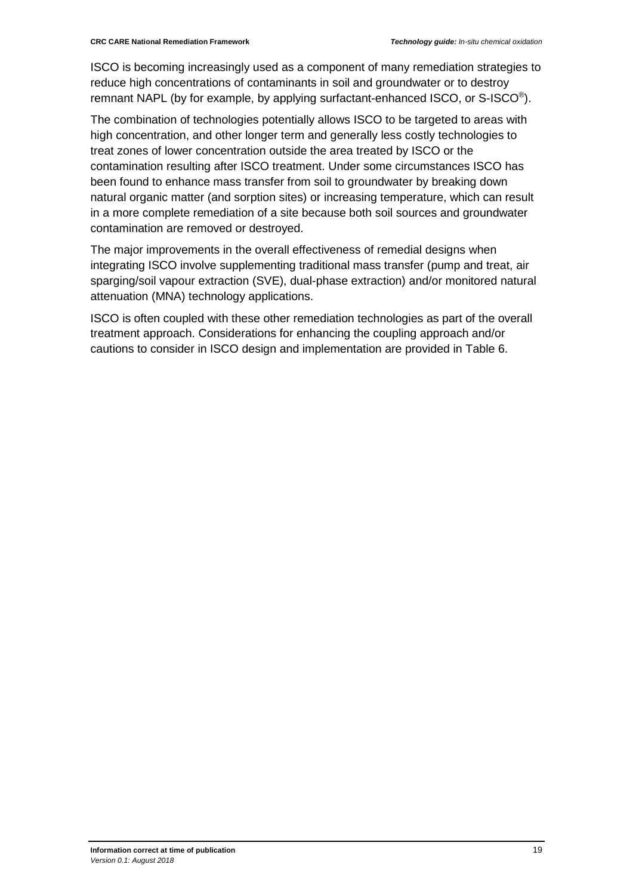ISCO is becoming increasingly used as a component of many remediation strategies to reduce high concentrations of contaminants in soil and groundwater or to destroy remnant NAPL (by for example, by applying surfactant-enhanced ISCO, or S-ISCO®).

The combination of technologies potentially allows ISCO to be targeted to areas with high concentration, and other longer term and generally less costly technologies to treat zones of lower concentration outside the area treated by ISCO or the contamination resulting after ISCO treatment. Under some circumstances ISCO has been found to enhance mass transfer from soil to groundwater by breaking down natural organic matter (and sorption sites) or increasing temperature, which can result in a more complete remediation of a site because both soil sources and groundwater contamination are removed or destroyed.

The major improvements in the overall effectiveness of remedial designs when integrating ISCO involve supplementing traditional mass transfer (pump and treat, air sparging/soil vapour extraction (SVE), dual-phase extraction) and/or monitored natural attenuation (MNA) technology applications.

ISCO is often coupled with these other remediation technologies as part of the overall treatment approach. Considerations for enhancing the coupling approach and/or cautions to consider in ISCO design and implementation are provided in Table 6.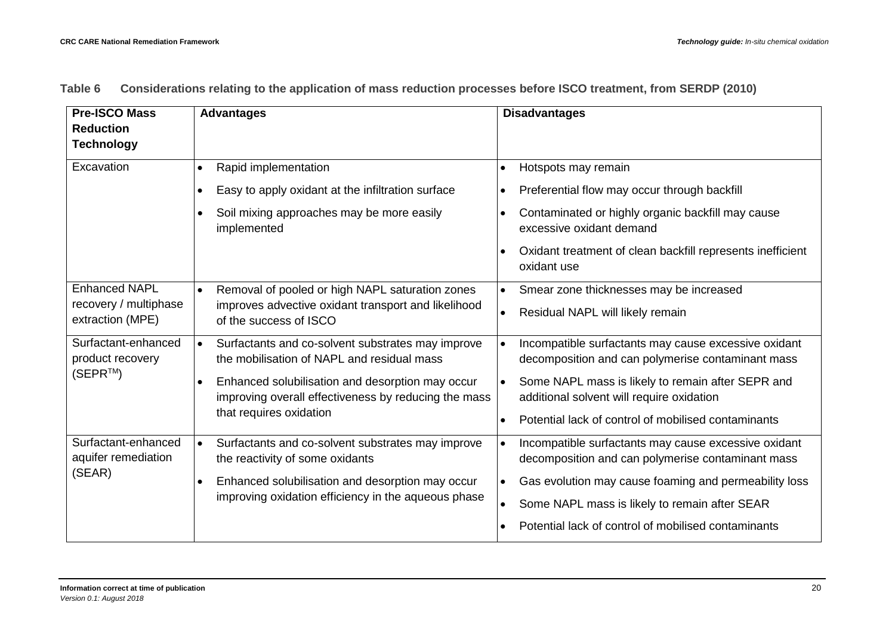| <b>Pre-ISCO Mass</b>                      | <b>Advantages</b>                                                                                                    | <b>Disadvantages</b>                                                                       |
|-------------------------------------------|----------------------------------------------------------------------------------------------------------------------|--------------------------------------------------------------------------------------------|
| <b>Reduction</b>                          |                                                                                                                      |                                                                                            |
| <b>Technology</b>                         |                                                                                                                      |                                                                                            |
| Excavation                                | Rapid implementation<br>$\bullet$                                                                                    | Hotspots may remain<br>$\bullet$                                                           |
|                                           | Easy to apply oxidant at the infiltration surface<br>$\bullet$                                                       | Preferential flow may occur through backfill<br>$\bullet$                                  |
|                                           | Soil mixing approaches may be more easily<br>$\bullet$<br>implemented                                                | Contaminated or highly organic backfill may cause<br>$\bullet$<br>excessive oxidant demand |
|                                           |                                                                                                                      | Oxidant treatment of clean backfill represents inefficient<br>oxidant use                  |
| <b>Enhanced NAPL</b>                      | Removal of pooled or high NAPL saturation zones<br>$\bullet$                                                         | Smear zone thicknesses may be increased                                                    |
| recovery / multiphase<br>extraction (MPE) | improves advective oxidant transport and likelihood<br>of the success of ISCO                                        | Residual NAPL will likely remain<br>$\bullet$                                              |
| Surfactant-enhanced                       | Surfactants and co-solvent substrates may improve<br>I۰                                                              | Incompatible surfactants may cause excessive oxidant                                       |
| product recovery                          | the mobilisation of NAPL and residual mass                                                                           | decomposition and can polymerise contaminant mass                                          |
| $(SEPR^{TM})$                             | Enhanced solubilisation and desorption may occur<br>$\bullet$                                                        | Some NAPL mass is likely to remain after SEPR and                                          |
|                                           | improving overall effectiveness by reducing the mass                                                                 | additional solvent will require oxidation                                                  |
|                                           | that requires oxidation                                                                                              | Potential lack of control of mobilised contaminants<br>$\bullet$                           |
| Surfactant-enhanced                       | Surfactants and co-solvent substrates may improve<br>$\bullet$                                                       | Incompatible surfactants may cause excessive oxidant<br>$\bullet$                          |
| aquifer remediation                       | the reactivity of some oxidants                                                                                      | decomposition and can polymerise contaminant mass                                          |
| (SEAR)                                    | Enhanced solubilisation and desorption may occur<br>$\bullet$<br>improving oxidation efficiency in the aqueous phase | Gas evolution may cause foaming and permeability loss<br>$\bullet$                         |
|                                           |                                                                                                                      | Some NAPL mass is likely to remain after SEAR<br>$\bullet$                                 |
|                                           |                                                                                                                      | Potential lack of control of mobilised contaminants<br>$\bullet$                           |

#### **Table 6 Considerations relating to the application of mass reduction processes before ISCO treatment, from SERDP (2010)**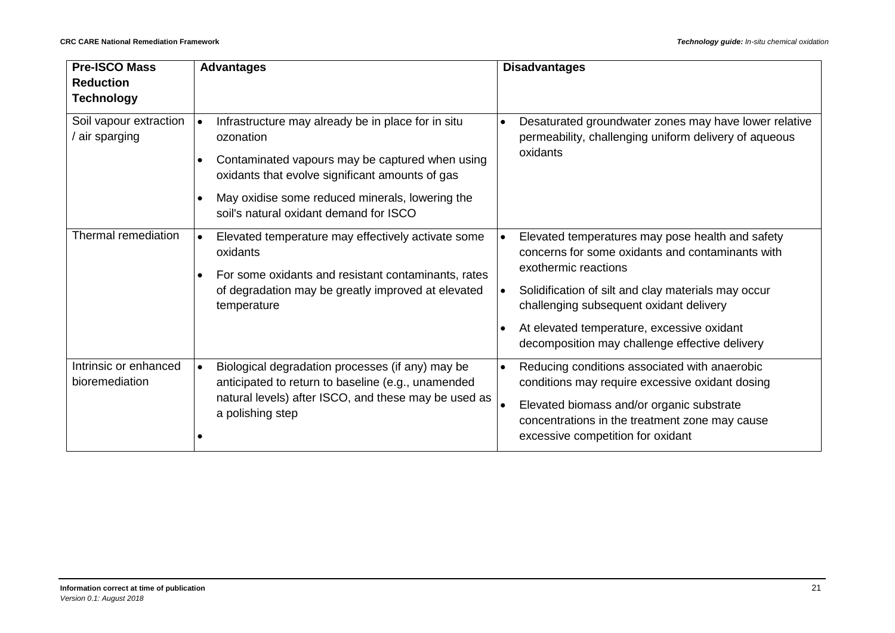| <b>Pre-ISCO Mass</b>                    | <b>Advantages</b>                                                                                                                                                                                                                                                                            | <b>Disadvantages</b>                                                                                                                                                                                                                                                                                                                                     |  |
|-----------------------------------------|----------------------------------------------------------------------------------------------------------------------------------------------------------------------------------------------------------------------------------------------------------------------------------------------|----------------------------------------------------------------------------------------------------------------------------------------------------------------------------------------------------------------------------------------------------------------------------------------------------------------------------------------------------------|--|
| <b>Reduction</b><br><b>Technology</b>   |                                                                                                                                                                                                                                                                                              |                                                                                                                                                                                                                                                                                                                                                          |  |
| Soil vapour extraction<br>air sparging  | Infrastructure may already be in place for in situ<br>$\bullet$<br>ozonation<br>Contaminated vapours may be captured when using<br>oxidants that evolve significant amounts of gas<br>May oxidise some reduced minerals, lowering the<br>$\bullet$<br>soil's natural oxidant demand for ISCO | Desaturated groundwater zones may have lower relative<br>permeability, challenging uniform delivery of aqueous<br>oxidants                                                                                                                                                                                                                               |  |
| Thermal remediation                     | Elevated temperature may effectively activate some<br>$\bullet$<br>oxidants<br>For some oxidants and resistant contaminants, rates<br>of degradation may be greatly improved at elevated<br>temperature                                                                                      | Elevated temperatures may pose health and safety<br>$\bullet$<br>concerns for some oxidants and contaminants with<br>exothermic reactions<br>Solidification of silt and clay materials may occur<br>$\bullet$<br>challenging subsequent oxidant delivery<br>At elevated temperature, excessive oxidant<br>decomposition may challenge effective delivery |  |
| Intrinsic or enhanced<br>bioremediation | Biological degradation processes (if any) may be<br>$\bullet$<br>anticipated to return to baseline (e.g., unamended<br>natural levels) after ISCO, and these may be used as<br>a polishing step                                                                                              | Reducing conditions associated with anaerobic<br>$\bullet$<br>conditions may require excessive oxidant dosing<br>Elevated biomass and/or organic substrate<br>$\bullet$<br>concentrations in the treatment zone may cause<br>excessive competition for oxidant                                                                                           |  |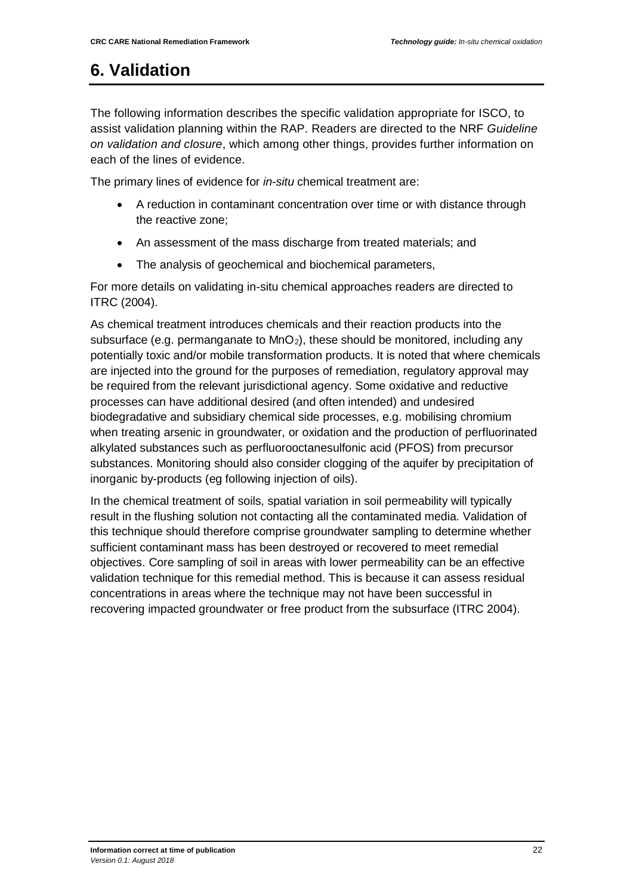## <span id="page-33-0"></span>**6. Validation**

The following information describes the specific validation appropriate for ISCO, to assist validation planning within the RAP. Readers are directed to the NRF *Guideline on validation and closure*, which among other things, provides further information on each of the lines of evidence.

The primary lines of evidence for *in-situ* chemical treatment are:

- A reduction in contaminant concentration over time or with distance through the reactive zone;
- An assessment of the mass discharge from treated materials; and
- The analysis of geochemical and biochemical parameters,

For more details on validating in-situ chemical approaches readers are directed to ITRC (2004).

As chemical treatment introduces chemicals and their reaction products into the subsurface (e.g. permanganate to  $MnO<sub>2</sub>$ ), these should be monitored, including any potentially toxic and/or mobile transformation products. It is noted that where chemicals are injected into the ground for the purposes of remediation, regulatory approval may be required from the relevant jurisdictional agency. Some oxidative and reductive processes can have additional desired (and often intended) and undesired biodegradative and subsidiary chemical side processes, e.g. mobilising chromium when treating arsenic in groundwater, or oxidation and the production of perfluorinated alkylated substances such as perfluorooctanesulfonic acid (PFOS) from precursor substances. Monitoring should also consider clogging of the aquifer by precipitation of inorganic by-products (eg following injection of oils).

In the chemical treatment of soils, spatial variation in soil permeability will typically result in the flushing solution not contacting all the contaminated media. Validation of this technique should therefore comprise groundwater sampling to determine whether sufficient contaminant mass has been destroyed or recovered to meet remedial objectives. Core sampling of soil in areas with lower permeability can be an effective validation technique for this remedial method. This is because it can assess residual concentrations in areas where the technique may not have been successful in recovering impacted groundwater or free product from the subsurface (ITRC 2004).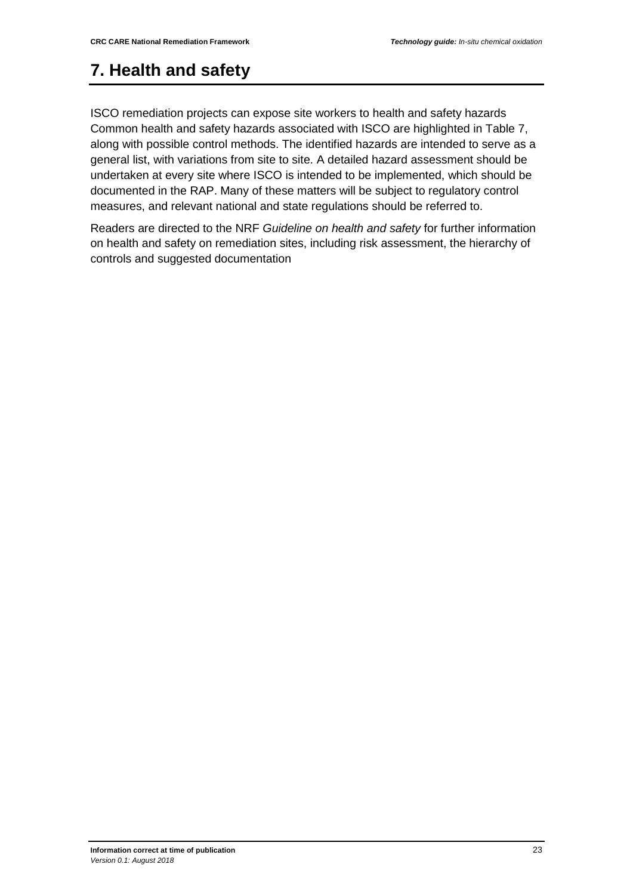## <span id="page-34-0"></span>**7. Health and safety**

ISCO remediation projects can expose site workers to health and safety hazards Common health and safety hazards associated with ISCO are highlighted in Table 7, along with possible control methods. The identified hazards are intended to serve as a general list, with variations from site to site. A detailed hazard assessment should be undertaken at every site where ISCO is intended to be implemented, which should be documented in the RAP. Many of these matters will be subject to regulatory control measures, and relevant national and state regulations should be referred to.

Readers are directed to the NRF *Guideline on health and safety* for further information on health and safety on remediation sites, including risk assessment, the hierarchy of controls and suggested documentation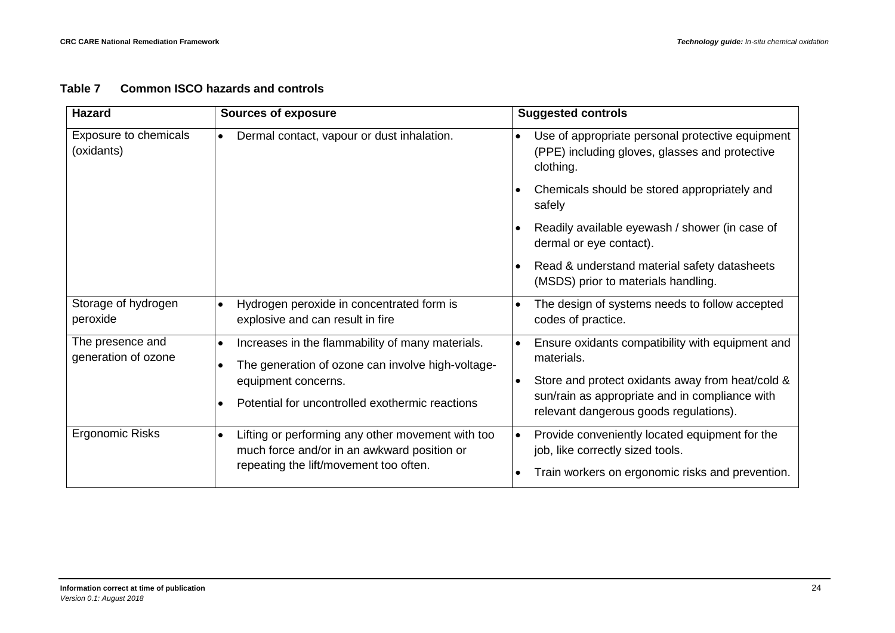#### **Table 7 Common ISCO hazards and controls**

| <b>Hazard</b>                           | <b>Sources of exposure</b>                                                                                         | <b>Suggested controls</b>                                                                                                    |
|-----------------------------------------|--------------------------------------------------------------------------------------------------------------------|------------------------------------------------------------------------------------------------------------------------------|
| Exposure to chemicals<br>(oxidants)     | Dermal contact, vapour or dust inhalation.<br>$\bullet$                                                            | Use of appropriate personal protective equipment<br>$\bullet$<br>(PPE) including gloves, glasses and protective<br>clothing. |
|                                         |                                                                                                                    | Chemicals should be stored appropriately and<br>safely                                                                       |
|                                         |                                                                                                                    | Readily available eyewash / shower (in case of<br>dermal or eye contact).                                                    |
|                                         |                                                                                                                    | Read & understand material safety datasheets<br>(MSDS) prior to materials handling.                                          |
| Storage of hydrogen<br>peroxide         | Hydrogen peroxide in concentrated form is<br>explosive and can result in fire                                      | The design of systems needs to follow accepted<br>codes of practice.                                                         |
| The presence and<br>generation of ozone | Increases in the flammability of many materials.<br>$\bullet$<br>The generation of ozone can involve high-voltage- | Ensure oxidants compatibility with equipment and<br>$\bullet$<br>materials.                                                  |
|                                         | equipment concerns.                                                                                                | Store and protect oxidants away from heat/cold &<br>$\bullet$                                                                |
|                                         | Potential for uncontrolled exothermic reactions                                                                    | sun/rain as appropriate and in compliance with<br>relevant dangerous goods regulations).                                     |
| <b>Ergonomic Risks</b>                  | Lifting or performing any other movement with too<br>$\bullet$<br>much force and/or in an awkward position or      | Provide conveniently located equipment for the<br>$\bullet$<br>job, like correctly sized tools.                              |
|                                         | repeating the lift/movement too often.                                                                             |                                                                                                                              |
|                                         |                                                                                                                    | Train workers on ergonomic risks and prevention.                                                                             |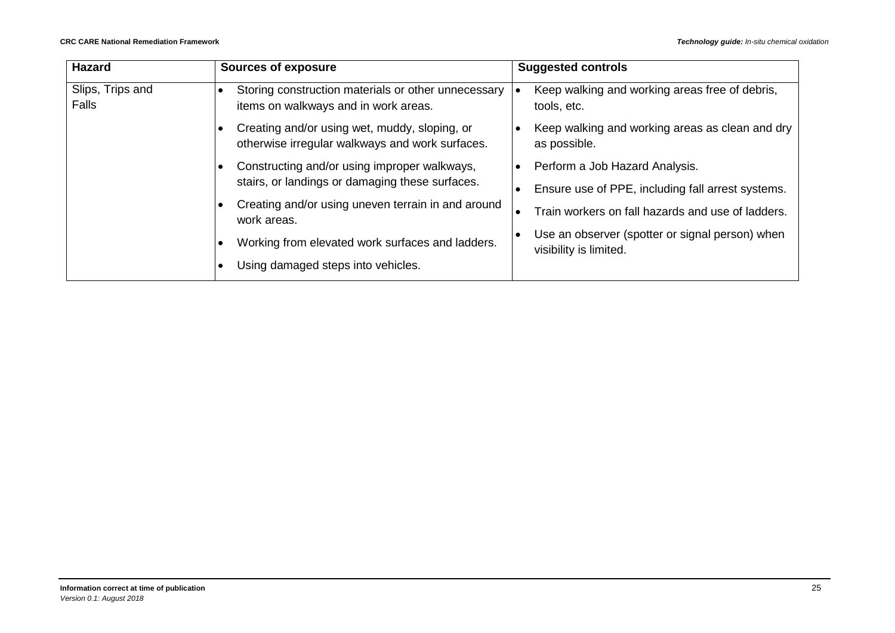| <b>Hazard</b>             | <b>Sources of exposure</b>                                                                       | <b>Suggested controls</b>                                                 |
|---------------------------|--------------------------------------------------------------------------------------------------|---------------------------------------------------------------------------|
| Slips, Trips and<br>Falls | Storing construction materials or other unnecessary<br>items on walkways and in work areas.      | Keep walking and working areas free of debris,<br>tools, etc.             |
|                           | Creating and/or using wet, muddy, sloping, or<br>otherwise irregular walkways and work surfaces. | Keep walking and working areas as clean and dry<br>as possible.           |
|                           | Constructing and/or using improper walkways,                                                     | Perform a Job Hazard Analysis.                                            |
|                           | stairs, or landings or damaging these surfaces.                                                  | Ensure use of PPE, including fall arrest systems.                         |
|                           | Creating and/or using uneven terrain in and around<br>work areas.                                | Train workers on fall hazards and use of ladders.                         |
|                           | Working from elevated work surfaces and ladders.                                                 | Use an observer (spotter or signal person) when<br>visibility is limited. |
|                           | Using damaged steps into vehicles.                                                               |                                                                           |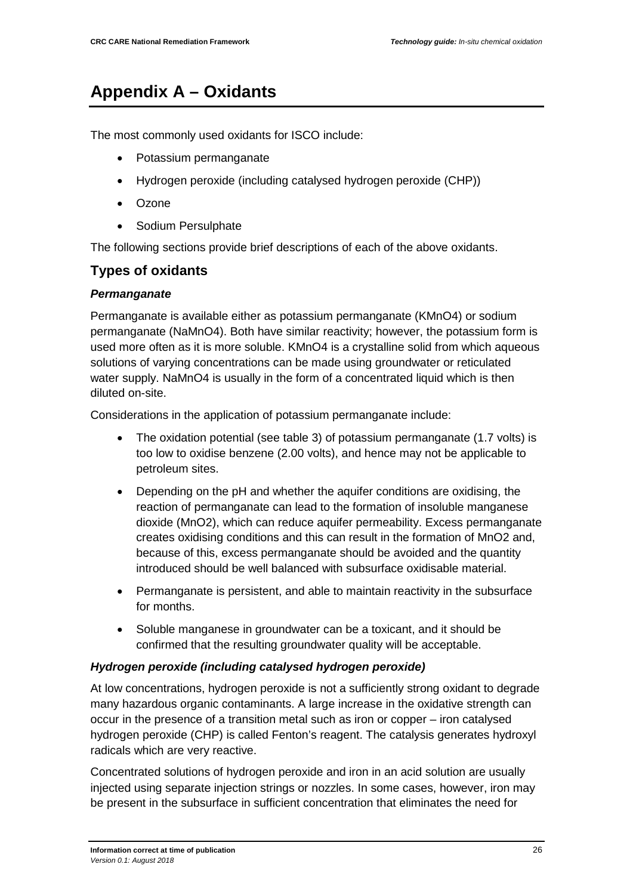# <span id="page-37-0"></span>**Appendix A – Oxidants**

The most commonly used oxidants for ISCO include:

- Potassium permanganate
- Hydrogen peroxide (including catalysed hydrogen peroxide (CHP))
- Ozone
- Sodium Persulphate

The following sections provide brief descriptions of each of the above oxidants.

### **Types of oxidants**

### *Permanganate*

Permanganate is available either as potassium permanganate (KMnO4) or sodium permanganate (NaMnO4). Both have similar reactivity; however, the potassium form is used more often as it is more soluble. KMnO4 is a crystalline solid from which aqueous solutions of varying concentrations can be made using groundwater or reticulated water supply. NaMnO4 is usually in the form of a concentrated liquid which is then diluted on-site.

Considerations in the application of potassium permanganate include:

- The oxidation potential (see table 3) of potassium permanganate (1.7 volts) is too low to oxidise benzene (2.00 volts), and hence may not be applicable to petroleum sites.
- Depending on the pH and whether the aquifer conditions are oxidising, the reaction of permanganate can lead to the formation of insoluble manganese dioxide (MnO2), which can reduce aquifer permeability. Excess permanganate creates oxidising conditions and this can result in the formation of MnO2 and, because of this, excess permanganate should be avoided and the quantity introduced should be well balanced with subsurface oxidisable material.
- Permanganate is persistent, and able to maintain reactivity in the subsurface for months.
- Soluble manganese in groundwater can be a toxicant, and it should be confirmed that the resulting groundwater quality will be acceptable.

#### *Hydrogen peroxide (including catalysed hydrogen peroxide)*

At low concentrations, hydrogen peroxide is not a sufficiently strong oxidant to degrade many hazardous organic contaminants. A large increase in the oxidative strength can occur in the presence of a transition metal such as iron or copper – iron catalysed hydrogen peroxide (CHP) is called Fenton's reagent. The catalysis generates hydroxyl radicals which are very reactive.

Concentrated solutions of hydrogen peroxide and iron in an acid solution are usually injected using separate injection strings or nozzles. In some cases, however, iron may be present in the subsurface in sufficient concentration that eliminates the need for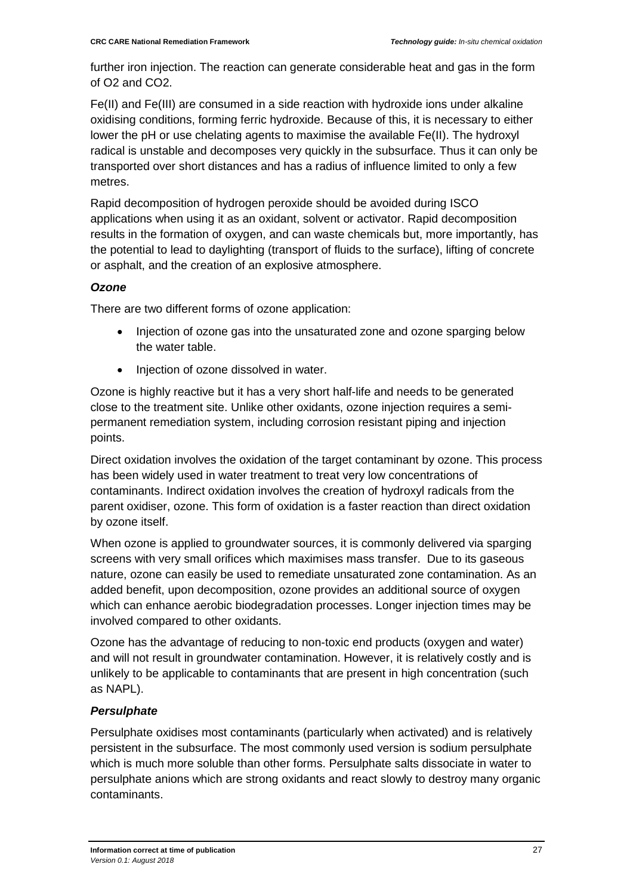further iron injection. The reaction can generate considerable heat and gas in the form of O2 and CO2.

Fe(II) and Fe(III) are consumed in a side reaction with hydroxide ions under alkaline oxidising conditions, forming ferric hydroxide. Because of this, it is necessary to either lower the pH or use chelating agents to maximise the available Fe(II). The hydroxyl radical is unstable and decomposes very quickly in the subsurface. Thus it can only be transported over short distances and has a radius of influence limited to only a few metres.

Rapid decomposition of hydrogen peroxide should be avoided during ISCO applications when using it as an oxidant, solvent or activator. Rapid decomposition results in the formation of oxygen, and can waste chemicals but, more importantly, has the potential to lead to daylighting (transport of fluids to the surface), lifting of concrete or asphalt, and the creation of an explosive atmosphere.

### *Ozone*

There are two different forms of ozone application:

- Injection of ozone gas into the unsaturated zone and ozone sparging below the water table.
- Injection of ozone dissolved in water.

Ozone is highly reactive but it has a very short half-life and needs to be generated close to the treatment site. Unlike other oxidants, ozone injection requires a semipermanent remediation system, including corrosion resistant piping and injection points.

Direct oxidation involves the oxidation of the target contaminant by ozone. This process has been widely used in water treatment to treat very low concentrations of contaminants. Indirect oxidation involves the creation of hydroxyl radicals from the parent oxidiser, ozone. This form of oxidation is a faster reaction than direct oxidation by ozone itself.

When ozone is applied to groundwater sources, it is commonly delivered via sparging screens with very small orifices which maximises mass transfer. Due to its gaseous nature, ozone can easily be used to remediate unsaturated zone contamination. As an added benefit, upon decomposition, ozone provides an additional source of oxygen which can enhance aerobic biodegradation processes. Longer injection times may be involved compared to other oxidants.

Ozone has the advantage of reducing to non-toxic end products (oxygen and water) and will not result in groundwater contamination. However, it is relatively costly and is unlikely to be applicable to contaminants that are present in high concentration (such as NAPL).

### *Persulphate*

Persulphate oxidises most contaminants (particularly when activated) and is relatively persistent in the subsurface. The most commonly used version is sodium persulphate which is much more soluble than other forms. Persulphate salts dissociate in water to persulphate anions which are strong oxidants and react slowly to destroy many organic contaminants.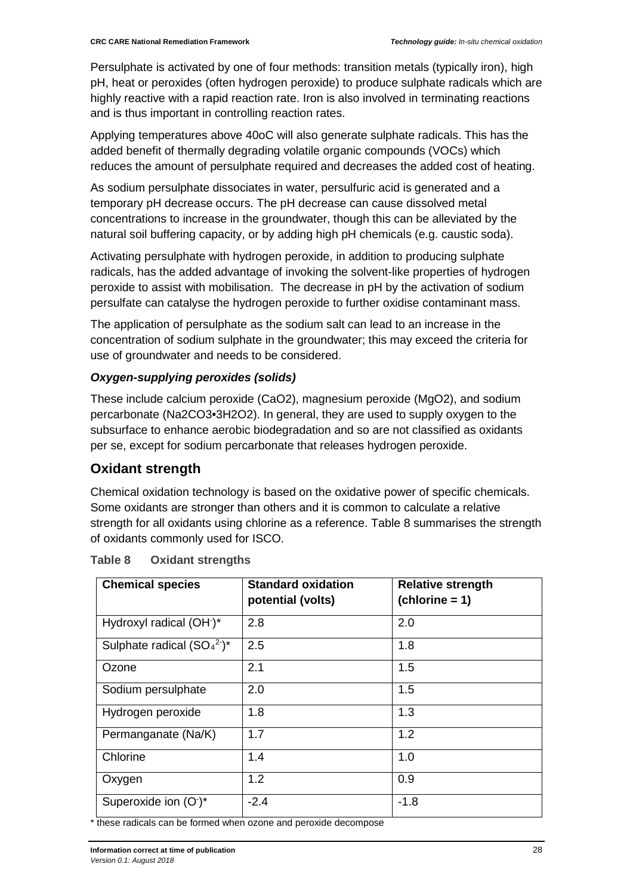Persulphate is activated by one of four methods: transition metals (typically iron), high pH, heat or peroxides (often hydrogen peroxide) to produce sulphate radicals which are highly reactive with a rapid reaction rate. Iron is also involved in terminating reactions and is thus important in controlling reaction rates.

Applying temperatures above 40oC will also generate sulphate radicals. This has the added benefit of thermally degrading volatile organic compounds (VOCs) which reduces the amount of persulphate required and decreases the added cost of heating.

As sodium persulphate dissociates in water, persulfuric acid is generated and a temporary pH decrease occurs. The pH decrease can cause dissolved metal concentrations to increase in the groundwater, though this can be alleviated by the natural soil buffering capacity, or by adding high pH chemicals (e.g. caustic soda).

Activating persulphate with hydrogen peroxide, in addition to producing sulphate radicals, has the added advantage of invoking the solvent-like properties of hydrogen peroxide to assist with mobilisation. The decrease in pH by the activation of sodium persulfate can catalyse the hydrogen peroxide to further oxidise contaminant mass.

The application of persulphate as the sodium salt can lead to an increase in the concentration of sodium sulphate in the groundwater; this may exceed the criteria for use of groundwater and needs to be considered.

### *Oxygen-supplying peroxides (solids)*

These include calcium peroxide (CaO2), magnesium peroxide (MgO2), and sodium percarbonate (Na2CO3•3H2O2). In general, they are used to supply oxygen to the subsurface to enhance aerobic biodegradation and so are not classified as oxidants per se, except for sodium percarbonate that releases hydrogen peroxide.

### **Oxidant strength**

Chemical oxidation technology is based on the oxidative power of specific chemicals. Some oxidants are stronger than others and it is common to calculate a relative strength for all oxidants using chlorine as a reference. Table 8 summarises the strength of oxidants commonly used for ISCO.

| <b>Chemical species</b>              | <b>Standard oxidation</b><br>potential (volts) | <b>Relative strength</b><br>$(chlorine = 1)$ |
|--------------------------------------|------------------------------------------------|----------------------------------------------|
| Hydroxyl radical (OH <sup>-</sup> )* | 2.8                                            | 2.0                                          |
| Sulphate radical $(SO_4^2)^*$        | 2.5                                            | 1.8                                          |
| Ozone                                | 2.1                                            | 1.5                                          |
| Sodium persulphate                   | 2.0                                            | 1.5                                          |
| Hydrogen peroxide                    | 1.8                                            | 1.3                                          |
| Permanganate (Na/K)                  | 1.7                                            | 1.2                                          |
| Chlorine                             | 1.4                                            | 1.0                                          |
| Oxygen                               | 1.2                                            | 0.9                                          |
| Superoxide ion $(O^*)^*$             | $-2.4$                                         | $-1.8$                                       |

| Table 8 |  | <b>Oxidant strengths</b> |
|---------|--|--------------------------|
|---------|--|--------------------------|

\* these radicals can be formed when ozone and peroxide decompose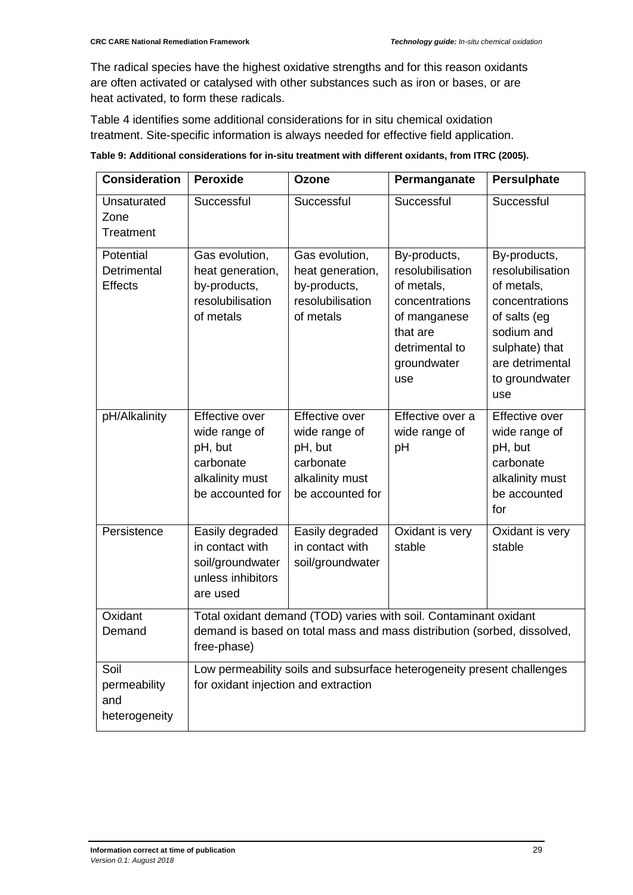The radical species have the highest oxidative strengths and for this reason oxidants are often activated or catalysed with other substances such as iron or bases, or are heat activated, to form these radicals.

Table 4 identifies some additional considerations for in situ chemical oxidation treatment. Site-specific information is always needed for effective field application.

| <b>Consideration</b>                         | <b>Peroxide</b>                                                                                                                                            | <b>Ozone</b>                                                                                   | Permanganate                                                                                                                         | <b>Persulphate</b>                                                                                                                                           |
|----------------------------------------------|------------------------------------------------------------------------------------------------------------------------------------------------------------|------------------------------------------------------------------------------------------------|--------------------------------------------------------------------------------------------------------------------------------------|--------------------------------------------------------------------------------------------------------------------------------------------------------------|
| Unsaturated<br>Zone<br>Treatment             | Successful                                                                                                                                                 | Successful                                                                                     | Successful                                                                                                                           | Successful                                                                                                                                                   |
| Potential<br>Detrimental<br><b>Effects</b>   | Gas evolution,<br>heat generation,<br>by-products,<br>resolubilisation<br>of metals                                                                        | Gas evolution,<br>heat generation,<br>by-products,<br>resolubilisation<br>of metals            | By-products,<br>resolubilisation<br>of metals,<br>concentrations<br>of manganese<br>that are<br>detrimental to<br>groundwater<br>use | By-products,<br>resolubilisation<br>of metals,<br>concentrations<br>of salts (eg<br>sodium and<br>sulphate) that<br>are detrimental<br>to groundwater<br>use |
| pH/Alkalinity                                | <b>Effective over</b><br>wide range of<br>pH, but<br>carbonate<br>alkalinity must<br>be accounted for                                                      | Effective over<br>wide range of<br>pH, but<br>carbonate<br>alkalinity must<br>be accounted for | Effective over a<br>wide range of<br>pH                                                                                              | Effective over<br>wide range of<br>pH, but<br>carbonate<br>alkalinity must<br>be accounted<br>for                                                            |
| Persistence                                  | Easily degraded<br>in contact with<br>soil/groundwater<br>unless inhibitors<br>are used                                                                    | Easily degraded<br>in contact with<br>soil/groundwater                                         | Oxidant is very<br>stable                                                                                                            | Oxidant is very<br>stable                                                                                                                                    |
| Oxidant<br>Demand                            | Total oxidant demand (TOD) varies with soil. Contaminant oxidant<br>demand is based on total mass and mass distribution (sorbed, dissolved,<br>free-phase) |                                                                                                |                                                                                                                                      |                                                                                                                                                              |
| Soil<br>permeability<br>and<br>heterogeneity | Low permeability soils and subsurface heterogeneity present challenges<br>for oxidant injection and extraction                                             |                                                                                                |                                                                                                                                      |                                                                                                                                                              |

**Table 9: Additional considerations for in-situ treatment with different oxidants, from ITRC (2005).**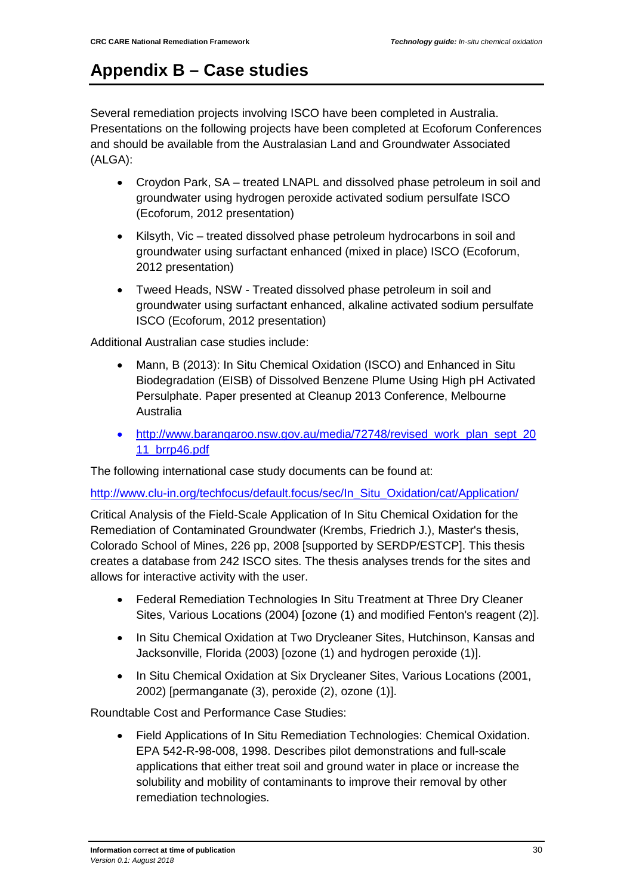# <span id="page-41-0"></span>**Appendix B – Case studies**

Several remediation projects involving ISCO have been completed in Australia. Presentations on the following projects have been completed at Ecoforum Conferences and should be available from the Australasian Land and Groundwater Associated (ALGA):

- Croydon Park, SA treated LNAPL and dissolved phase petroleum in soil and groundwater using hydrogen peroxide activated sodium persulfate ISCO (Ecoforum, 2012 presentation)
- Kilsyth, Vic treated dissolved phase petroleum hydrocarbons in soil and groundwater using surfactant enhanced (mixed in place) ISCO (Ecoforum, 2012 presentation)
- Tweed Heads, NSW Treated dissolved phase petroleum in soil and groundwater using surfactant enhanced, alkaline activated sodium persulfate ISCO (Ecoforum, 2012 presentation)

Additional Australian case studies include:

- Mann, B (2013): In Situ Chemical Oxidation (ISCO) and Enhanced in Situ Biodegradation (EISB) of Dissolved Benzene Plume Using High pH Activated Persulphate. Paper presented at Cleanup 2013 Conference, Melbourne Australia
- [http://www.barangaroo.nsw.gov.au/media/72748/revised\\_work\\_plan\\_sept\\_20](http://www.barangaroo.nsw.gov.au/media/72748/revised_work_plan_sept_2011_brrp46.pdf) [11\\_brrp46.pdf](http://www.barangaroo.nsw.gov.au/media/72748/revised_work_plan_sept_2011_brrp46.pdf)

The following international case study documents can be found at:

[http://www.clu-in.org/techfocus/default.focus/sec/In\\_Situ\\_Oxidation/cat/Application/](http://www.clu-in.org/techfocus/default.focus/sec/In_Situ_Oxidation/cat/Application/)

Critical Analysis of the Field-Scale Application of In Situ Chemical Oxidation for the Remediation of Contaminated Groundwater (Krembs, Friedrich J.), Master's thesis, Colorado School of Mines, 226 pp, 2008 [supported by SERDP/ESTCP]. This thesis creates a database from 242 ISCO sites. The thesis analyses trends for the sites and allows for interactive activity with the user.

- Federal Remediation Technologies In Situ Treatment at Three Dry Cleaner Sites, Various Locations (2004) [ozone (1) and modified Fenton's reagent (2)].
- In Situ Chemical Oxidation at Two Drycleaner Sites, Hutchinson, Kansas and Jacksonville, Florida (2003) [ozone (1) and hydrogen peroxide (1)].
- In Situ Chemical Oxidation at Six Drycleaner Sites, Various Locations (2001, 2002) [permanganate (3), peroxide (2), ozone (1)].

Roundtable Cost and Performance Case Studies:

• Field Applications of In Situ Remediation Technologies: Chemical Oxidation. EPA 542-R-98-008, 1998. Describes pilot demonstrations and full-scale applications that either treat soil and ground water in place or increase the solubility and mobility of contaminants to improve their removal by other remediation technologies.